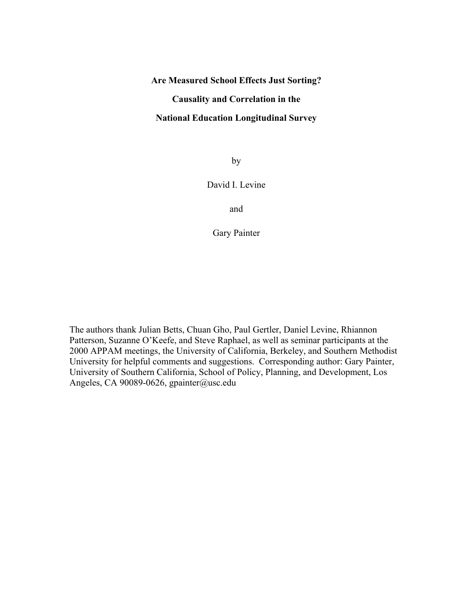### **Are Measured School Effects Just Sorting?**

# **Causality and Correlation in the**

#### **National Education Longitudinal Survey**

by

#### David I. Levine

and

Gary Painter

The authors thank Julian Betts, Chuan Gho, Paul Gertler, Daniel Levine, Rhiannon Patterson, Suzanne O'Keefe, and Steve Raphael, as well as seminar participants at the 2000 APPAM meetings, the University of California, Berkeley, and Southern Methodist University for helpful comments and suggestions. Corresponding author: Gary Painter, University of Southern California, School of Policy, Planning, and Development, Los Angeles, CA 90089-0626, gpainter@usc.edu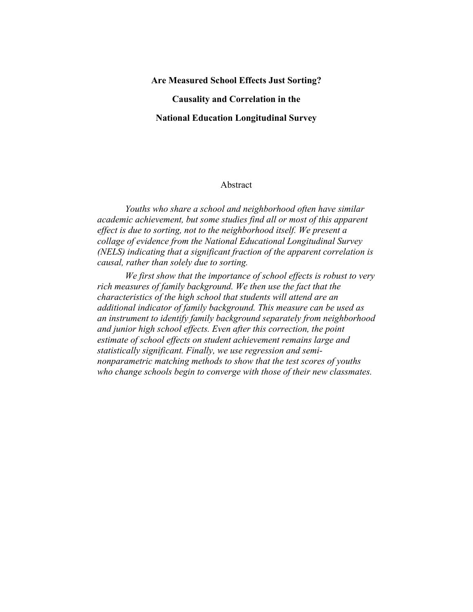#### **Are Measured School Effects Just Sorting?**

**Causality and Correlation in the** 

#### **National Education Longitudinal Survey**

#### Abstract

*Youths who share a school and neighborhood often have similar academic achievement, but some studies find all or most of this apparent effect is due to sorting, not to the neighborhood itself. We present a collage of evidence from the National Educational Longitudinal Survey (NELS) indicating that a significant fraction of the apparent correlation is causal, rather than solely due to sorting.* 

*We first show that the importance of school effects is robust to very rich measures of family background. We then use the fact that the characteristics of the high school that students will attend are an additional indicator of family background. This measure can be used as an instrument to identify family background separately from neighborhood and junior high school effects. Even after this correction, the point estimate of school effects on student achievement remains large and statistically significant. Finally, we use regression and seminonparametric matching methods to show that the test scores of youths who change schools begin to converge with those of their new classmates.*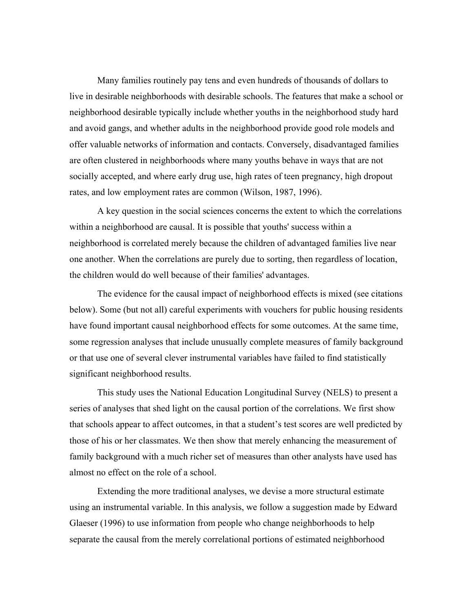Many families routinely pay tens and even hundreds of thousands of dollars to live in desirable neighborhoods with desirable schools. The features that make a school or neighborhood desirable typically include whether youths in the neighborhood study hard and avoid gangs, and whether adults in the neighborhood provide good role models and offer valuable networks of information and contacts. Conversely, disadvantaged families are often clustered in neighborhoods where many youths behave in ways that are not socially accepted, and where early drug use, high rates of teen pregnancy, high dropout rates, and low employment rates are common (Wilson, 1987, 1996).

A key question in the social sciences concerns the extent to which the correlations within a neighborhood are causal. It is possible that youths' success within a neighborhood is correlated merely because the children of advantaged families live near one another. When the correlations are purely due to sorting, then regardless of location, the children would do well because of their families' advantages.

The evidence for the causal impact of neighborhood effects is mixed (see citations below). Some (but not all) careful experiments with vouchers for public housing residents have found important causal neighborhood effects for some outcomes. At the same time, some regression analyses that include unusually complete measures of family background or that use one of several clever instrumental variables have failed to find statistically significant neighborhood results.

This study uses the National Education Longitudinal Survey (NELS) to present a series of analyses that shed light on the causal portion of the correlations. We first show that schools appear to affect outcomes, in that a student's test scores are well predicted by those of his or her classmates. We then show that merely enhancing the measurement of family background with a much richer set of measures than other analysts have used has almost no effect on the role of a school.

Extending the more traditional analyses, we devise a more structural estimate using an instrumental variable. In this analysis, we follow a suggestion made by Edward Glaeser (1996) to use information from people who change neighborhoods to help separate the causal from the merely correlational portions of estimated neighborhood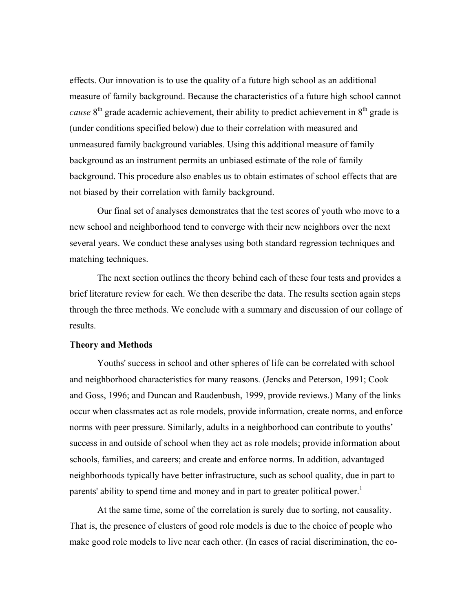effects. Our innovation is to use the quality of a future high school as an additional measure of family background. Because the characteristics of a future high school cannot *cause*  $8<sup>th</sup>$  grade academic achievement, their ability to predict achievement in  $8<sup>th</sup>$  grade is (under conditions specified below) due to their correlation with measured and unmeasured family background variables. Using this additional measure of family background as an instrument permits an unbiased estimate of the role of family background. This procedure also enables us to obtain estimates of school effects that are not biased by their correlation with family background.

Our final set of analyses demonstrates that the test scores of youth who move to a new school and neighborhood tend to converge with their new neighbors over the next several years. We conduct these analyses using both standard regression techniques and matching techniques.

The next section outlines the theory behind each of these four tests and provides a brief literature review for each. We then describe the data. The results section again steps through the three methods. We conclude with a summary and discussion of our collage of results.

#### **Theory and Methods**

Youths' success in school and other spheres of life can be correlated with school and neighborhood characteristics for many reasons. (Jencks and Peterson, 1991; Cook and Goss, 1996; and Duncan and Raudenbush, 1999, provide reviews.) Many of the links occur when classmates act as role models, provide information, create norms, and enforce norms with peer pressure. Similarly, adults in a neighborhood can contribute to youths' success in and outside of school when they act as role models; provide information about schools, families, and careers; and create and enforce norms. In addition, advantaged neighborhoods typically have better infrastructure, such as school quality, due in part to parents' ability to spend time and money and in part to greater political power.<sup>[1](#page-44-0)</sup>

At the same time, some of the correlation is surely due to sorting, not causality. That is, the presence of clusters of good role models is due to the choice of people who make good role models to live near each other. (In cases of racial discrimination, the co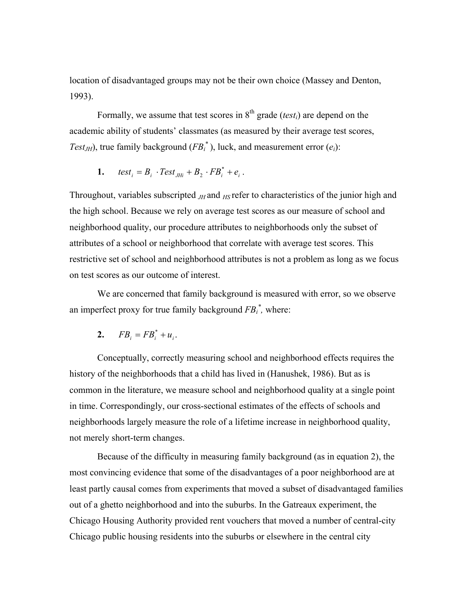location of disadvantaged groups may not be their own choice (Massey and Denton, 1993).

Formally, we assume that test scores in  $8<sup>th</sup>$  grade (*test<sub>i</sub>*) are depend on the academic ability of students' classmates (as measured by their average test scores, *Test<sub>JH</sub>*), true family background ( $FB<sub>i</sub><sup>*</sup>$ ), luck, and measurement error ( $e<sub>i</sub>$ ):

1. 
$$
test_i = B_i \cdot Test_{JHi} + B_2 \cdot FB_i^* + e_i.
$$

Throughout, variables subscripted *JH* and *HS* refer to characteristics of the junior high and the high school. Because we rely on average test scores as our measure of school and neighborhood quality, our procedure attributes to neighborhoods only the subset of attributes of a school or neighborhood that correlate with average test scores. This restrictive set of school and neighborhood attributes is not a problem as long as we focus on test scores as our outcome of interest.

We are concerned that family background is measured with error, so we observe an imperfect proxy for true family background  $FB_i^*$ , where:

$$
2. \qquad FB_i = FB_i^* + u_i.
$$

Conceptually, correctly measuring school and neighborhood effects requires the history of the neighborhoods that a child has lived in (Hanushek, 1986). But as is common in the literature, we measure school and neighborhood quality at a single point in time. Correspondingly, our cross-sectional estimates of the effects of schools and neighborhoods largely measure the role of a lifetime increase in neighborhood quality, not merely short-term changes.

Because of the difficulty in measuring family background (as in equation 2), the most convincing evidence that some of the disadvantages of a poor neighborhood are at least partly causal comes from experiments that moved a subset of disadvantaged families out of a ghetto neighborhood and into the suburbs. In the Gatreaux experiment, the Chicago Housing Authority provided rent vouchers that moved a number of central-city Chicago public housing residents into the suburbs or elsewhere in the central city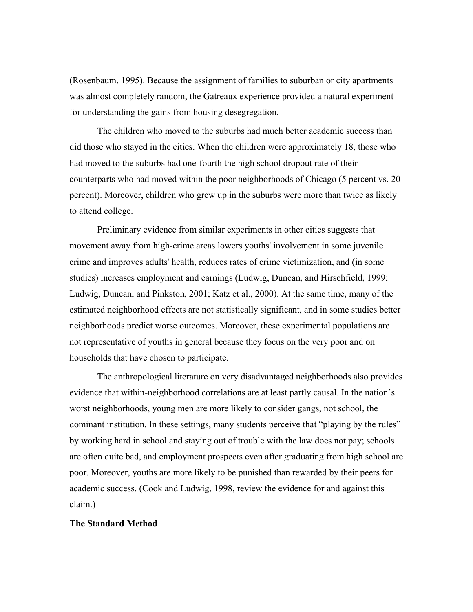(Rosenbaum, 1995). Because the assignment of families to suburban or city apartments was almost completely random, the Gatreaux experience provided a natural experiment for understanding the gains from housing desegregation.

The children who moved to the suburbs had much better academic success than did those who stayed in the cities. When the children were approximately 18, those who had moved to the suburbs had one-fourth the high school dropout rate of their counterparts who had moved within the poor neighborhoods of Chicago (5 percent vs. 20 percent). Moreover, children who grew up in the suburbs were more than twice as likely to attend college.

Preliminary evidence from similar experiments in other cities suggests that movement away from high-crime areas lowers youths' involvement in some juvenile crime and improves adults' health, reduces rates of crime victimization, and (in some studies) increases employment and earnings (Ludwig, Duncan, and Hirschfield, 1999; Ludwig, Duncan, and Pinkston, 2001; Katz et al., 2000). At the same time, many of the estimated neighborhood effects are not statistically significant, and in some studies better neighborhoods predict worse outcomes. Moreover, these experimental populations are not representative of youths in general because they focus on the very poor and on households that have chosen to participate.

The anthropological literature on very disadvantaged neighborhoods also provides evidence that within-neighborhood correlations are at least partly causal. In the nation's worst neighborhoods, young men are more likely to consider gangs, not school, the dominant institution. In these settings, many students perceive that "playing by the rules" by working hard in school and staying out of trouble with the law does not pay; schools are often quite bad, and employment prospects even after graduating from high school are poor. Moreover, youths are more likely to be punished than rewarded by their peers for academic success. (Cook and Ludwig, 1998, review the evidence for and against this claim.)

#### **The Standard Method**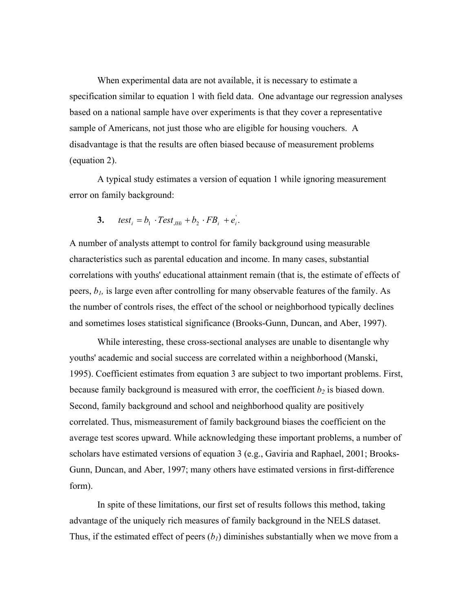When experimental data are not available, it is necessary to estimate a specification similar to equation 1 with field data. One advantage our regression analyses based on a national sample have over experiments is that they cover a representative sample of Americans, not just those who are eligible for housing vouchers. A disadvantage is that the results are often biased because of measurement problems (equation 2).

A typical study estimates a version of equation 1 while ignoring measurement error on family background:

$$
3. \quad \text{test}_i = b_1 \cdot \text{Test}_{JHi} + b_2 \cdot \text{FB}_i + e_i^{\prime}.
$$

A number of analysts attempt to control for family background using measurable characteristics such as parental education and income. In many cases, substantial correlations with youths' educational attainment remain (that is, the estimate of effects of peers, *b1,* is large even after controlling for many observable features of the family. As the number of controls rises, the effect of the school or neighborhood typically declines and sometimes loses statistical significance (Brooks-Gunn, Duncan, and Aber, 1997).

While interesting, these cross-sectional analyses are unable to disentangle why youths' academic and social success are correlated within a neighborhood (Manski, 1995). Coefficient estimates from equation 3 are subject to two important problems. First, because family background is measured with error, the coefficient  $b_2$  is biased down. Second, family background and school and neighborhood quality are positively correlated. Thus, mismeasurement of family background biases the coefficient on the average test scores upward. While acknowledging these important problems, a number of scholars have estimated versions of equation 3 (e.g., Gaviria and Raphael, 2001; Brooks-Gunn, Duncan, and Aber, 1997; many others have estimated versions in first-difference form).

In spite of these limitations, our first set of results follows this method, taking advantage of the uniquely rich measures of family background in the NELS dataset. Thus, if the estimated effect of peers  $(b<sub>1</sub>)$  diminishes substantially when we move from a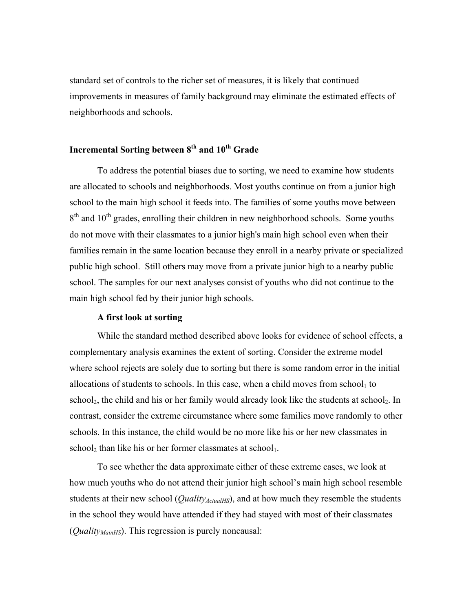standard set of controls to the richer set of measures, it is likely that continued improvements in measures of family background may eliminate the estimated effects of neighborhoods and schools.

# Incremental Sorting between  $8<sup>th</sup>$  and  $10<sup>th</sup>$  Grade

 To address the potential biases due to sorting, we need to examine how students are allocated to schools and neighborhoods. Most youths continue on from a junior high school to the main high school it feeds into. The families of some youths move between 8<sup>th</sup> and 10<sup>th</sup> grades, enrolling their children in new neighborhood schools. Some youths do not move with their classmates to a junior high's main high school even when their families remain in the same location because they enroll in a nearby private or specialized public high school. Still others may move from a private junior high to a nearby public school. The samples for our next analyses consist of youths who did not continue to the main high school fed by their junior high schools.

### **A first look at sorting**

While the standard method described above looks for evidence of school effects, a complementary analysis examines the extent of sorting. Consider the extreme model where school rejects are solely due to sorting but there is some random error in the initial allocations of students to schools. In this case, when a child moves from school, to school<sub>2</sub>, the child and his or her family would already look like the students at school<sub>2</sub>. In contrast, consider the extreme circumstance where some families move randomly to other schools. In this instance, the child would be no more like his or her new classmates in school<sub>2</sub> than like his or her former classmates at school<sub>1</sub>.

To see whether the data approximate either of these extreme cases, we look at how much youths who do not attend their junior high school's main high school resemble students at their new school (*Quality<sub>ActualHS</sub>*), and at how much they resemble the students in the school they would have attended if they had stayed with most of their classmates (*Quality<sub>MainHS</sub>*). This regression is purely noncausal: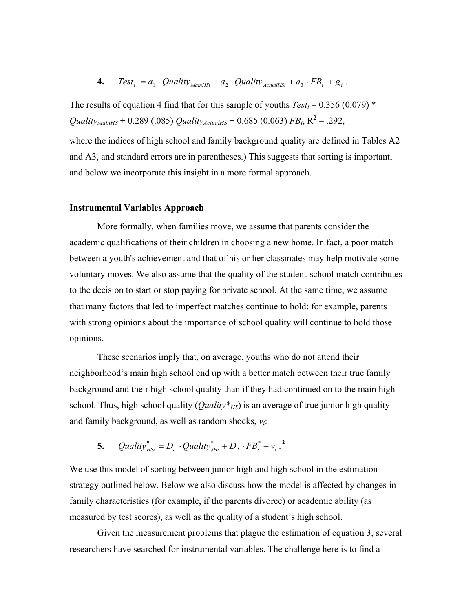**4.** Test<sub>i</sub> = 
$$
a_1 \cdot \text{Quality}_{MainHSi} + a_2 \cdot \text{Quality}_{ActualHSi} + a_3 \cdot FB_i + g_i
$$
.

The results of equation 4 find that for this sample of youths  $Test_i = 0.356 (0.079)$ <sup>\*</sup>  $\mathcal{Q}$ uality<sub>MainHS</sub> + 0.289 (.085)  $\mathcal{Q}$ uality<sub>ActualHS</sub> + 0.685 (0.063) *FB*<sub>i</sub>, R<sup>2</sup> = .292,

where the indices of high school and family background quality are defined in Tables A2 and A3, and standard errors are in parentheses.) This suggests that sorting is important, and below we incorporate this insight in a more formal approach.

#### **Instrumental Variables Approach**

More formally, when families move, we assume that parents consider the academic qualifications of their children in choosing a new home. In fact, a poor match between a youth's achievement and that of his or her classmates may help motivate some voluntary moves. We also assume that the quality of the student-school match contributes to the decision to start or stop paying for private school. At the same time, we assume that many factors that led to imperfect matches continue to hold; for example, parents with strong opinions about the importance of school quality will continue to hold those opinions.

These scenarios imply that, on average, youths who do not attend their neighborhood's main high school end up with a better match between their true family background and their high school quality than if they had continued on to the main high school. Thus, high school quality (*Quality*<sup>\*</sup><sub>HS</sub>) is an average of true junior high quality and family background, as well as random shocks, *vi*:

#### **5.**  $\quad$  *Quality*<sup>\*</sup><sub>*HSi</sub>* =  $D_i \cdot$ *Quality*<sup>\*</sup><sub>*JHi*</sub> +  $D_2 \cdot FB_i^* + v_i$  $D_2 \cdot FB_i^* + v_i$  $D_2 \cdot FB_i^* + v_i$ <sup>2</sup></sub>  $\mathcal{Q}$ uality $^*_{HSi} = D_i \cdot \mathcal{Q}$ uality $^*_{JHi} + D_2 \cdot FB_i^* + v_i$

We use this model of sorting between junior high and high school in the estimation strategy outlined below. Below we also discuss how the model is affected by changes in family characteristics (for example, if the parents divorce) or academic ability (as measured by test scores), as well as the quality of a student's high school.

Given the measurement problems that plague the estimation of equation 3, several researchers have searched for instrumental variables. The challenge here is to find a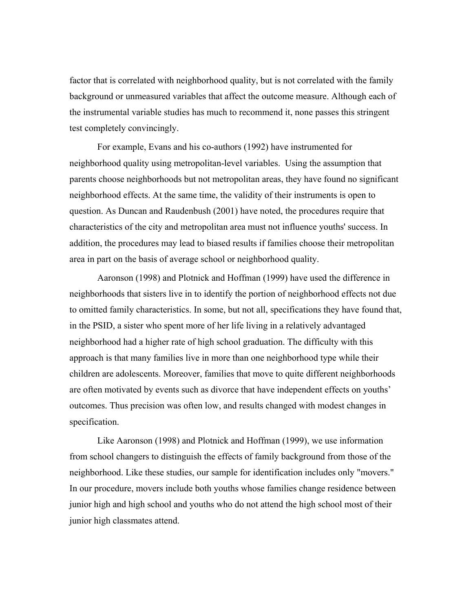factor that is correlated with neighborhood quality, but is not correlated with the family background or unmeasured variables that affect the outcome measure. Although each of the instrumental variable studies has much to recommend it, none passes this stringent test completely convincingly.

For example, Evans and his co-authors (1992) have instrumented for neighborhood quality using metropolitan-level variables. Using the assumption that parents choose neighborhoods but not metropolitan areas, they have found no significant neighborhood effects. At the same time, the validity of their instruments is open to question. As Duncan and Raudenbush (2001) have noted, the procedures require that characteristics of the city and metropolitan area must not influence youths' success. In addition, the procedures may lead to biased results if families choose their metropolitan area in part on the basis of average school or neighborhood quality.

Aaronson (1998) and Plotnick and Hoffman (1999) have used the difference in neighborhoods that sisters live in to identify the portion of neighborhood effects not due to omitted family characteristics. In some, but not all, specifications they have found that, in the PSID, a sister who spent more of her life living in a relatively advantaged neighborhood had a higher rate of high school graduation. The difficulty with this approach is that many families live in more than one neighborhood type while their children are adolescents. Moreover, families that move to quite different neighborhoods are often motivated by events such as divorce that have independent effects on youths' outcomes. Thus precision was often low, and results changed with modest changes in specification.

 Like Aaronson (1998) and Plotnick and Hoffman (1999), we use information from school changers to distinguish the effects of family background from those of the neighborhood. Like these studies, our sample for identification includes only "movers." In our procedure, movers include both youths whose families change residence between junior high and high school and youths who do not attend the high school most of their junior high classmates attend.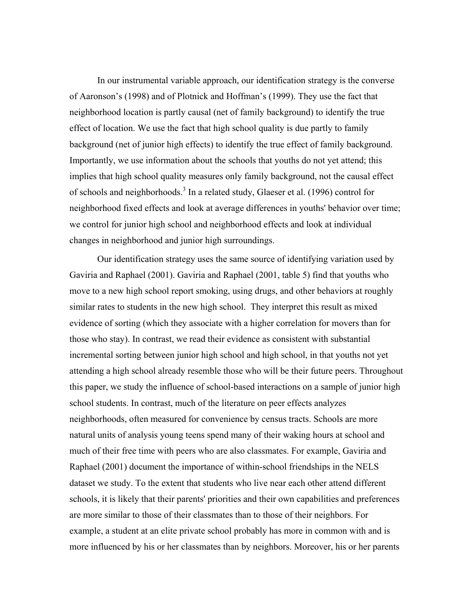In our instrumental variable approach, our identification strategy is the converse of Aaronson's (1998) and of Plotnick and Hoffman's (1999). They use the fact that neighborhood location is partly causal (net of family background) to identify the true effect of location. We use the fact that high school quality is due partly to family background (net of junior high effects) to identify the true effect of family background. Importantly, we use information about the schools that youths do not yet attend; this implies that high school quality measures only family background, not the causal effect of schools and neighborhoods.<sup>[3](#page-44-2)</sup> In a related study, Glaeser et al. (1996) control for neighborhood fixed effects and look at average differences in youths' behavior over time; we control for junior high school and neighborhood effects and look at individual changes in neighborhood and junior high surroundings.

 Our identification strategy uses the same source of identifying variation used by Gaviria and Raphael (2001). Gaviria and Raphael (2001, table 5) find that youths who move to a new high school report smoking, using drugs, and other behaviors at roughly similar rates to students in the new high school. They interpret this result as mixed evidence of sorting (which they associate with a higher correlation for movers than for those who stay). In contrast, we read their evidence as consistent with substantial incremental sorting between junior high school and high school, in that youths not yet attending a high school already resemble those who will be their future peers. Throughout this paper, we study the influence of school-based interactions on a sample of junior high school students. In contrast, much of the literature on peer effects analyzes neighborhoods, often measured for convenience by census tracts. Schools are more natural units of analysis young teens spend many of their waking hours at school and much of their free time with peers who are also classmates. For example, Gaviria and Raphael (2001) document the importance of within-school friendships in the NELS dataset we study. To the extent that students who live near each other attend different schools, it is likely that their parents' priorities and their own capabilities and preferences are more similar to those of their classmates than to those of their neighbors. For example, a student at an elite private school probably has more in common with and is more influenced by his or her classmates than by neighbors. Moreover, his or her parents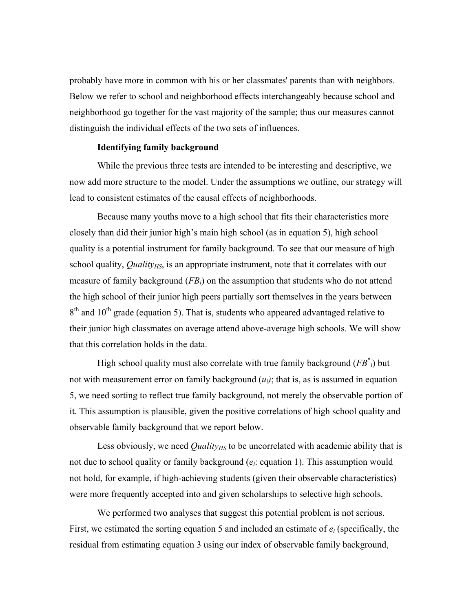probably have more in common with his or her classmates' parents than with neighbors. Below we refer to school and neighborhood effects interchangeably because school and neighborhood go together for the vast majority of the sample; thus our measures cannot distinguish the individual effects of the two sets of influences.

#### **Identifying family background**

While the previous three tests are intended to be interesting and descriptive, we now add more structure to the model. Under the assumptions we outline, our strategy will lead to consistent estimates of the causal effects of neighborhoods.

 Because many youths move to a high school that fits their characteristics more closely than did their junior high's main high school (as in equation 5), high school quality is a potential instrument for family background. To see that our measure of high school quality, *Quality<sub>HS</sub>*, is an appropriate instrument, note that it correlates with our measure of family background (*FBi*) on the assumption that students who do not attend the high school of their junior high peers partially sort themselves in the years between  $8<sup>th</sup>$  and  $10<sup>th</sup>$  grade (equation 5). That is, students who appeared advantaged relative to their junior high classmates on average attend above-average high schools. We will show that this correlation holds in the data.

High school quality must also correlate with true family background  $(FB^*)$  but not with measurement error on family background  $(u_i)$ ; that is, as is assumed in equation 5, we need sorting to reflect true family background, not merely the observable portion of it. This assumption is plausible, given the positive correlations of high school quality and observable family background that we report below.

Less obviously, we need *Quality<sub>HS</sub>* to be uncorrelated with academic ability that is not due to school quality or family background (*ei*: equation 1). This assumption would not hold, for example, if high-achieving students (given their observable characteristics) were more frequently accepted into and given scholarships to selective high schools.

 We performed two analyses that suggest this potential problem is not serious. First, we estimated the sorting equation 5 and included an estimate of *ei* (specifically, the residual from estimating equation 3 using our index of observable family background,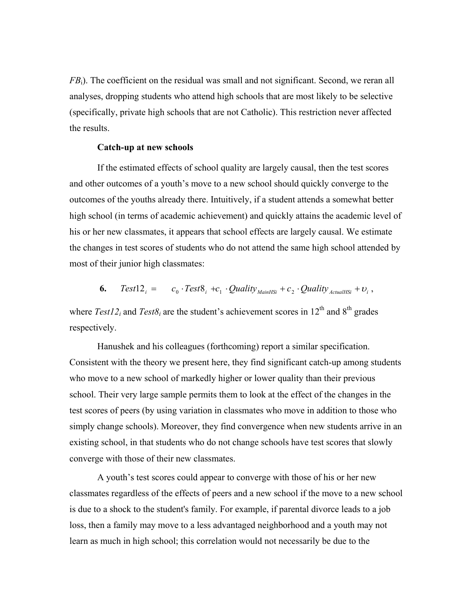*FB*<sub>i</sub>). The coefficient on the residual was small and not significant. Second, we reran all analyses, dropping students who attend high schools that are most likely to be selective (specifically, private high schools that are not Catholic). This restriction never affected the results.

#### **Catch-up at new schools**

If the estimated effects of school quality are largely causal, then the test scores and other outcomes of a youth's move to a new school should quickly converge to the outcomes of the youths already there. Intuitively, if a student attends a somewhat better high school (in terms of academic achievement) and quickly attains the academic level of his or her new classmates, it appears that school effects are largely causal. We estimate the changes in test scores of students who do not attend the same high school attended by most of their junior high classmates:

**6.** Test12<sub>i</sub> = 
$$
c_0 \cdot Test8_i + c_1 \cdot Quality_{MainHSi} + c_2 \cdot Quality_{Actually} + v_i
$$
,

where  $Test12_i$  and  $Test8_i$  are the student's achievement scores in 12<sup>th</sup> and 8<sup>th</sup> grades respectively.

Hanushek and his colleagues (forthcoming) report a similar specification. Consistent with the theory we present here, they find significant catch-up among students who move to a new school of markedly higher or lower quality than their previous school. Their very large sample permits them to look at the effect of the changes in the test scores of peers (by using variation in classmates who move in addition to those who simply change schools). Moreover, they find convergence when new students arrive in an existing school, in that students who do not change schools have test scores that slowly converge with those of their new classmates.

A youth's test scores could appear to converge with those of his or her new classmates regardless of the effects of peers and a new school if the move to a new school is due to a shock to the student's family. For example, if parental divorce leads to a job loss, then a family may move to a less advantaged neighborhood and a youth may not learn as much in high school; this correlation would not necessarily be due to the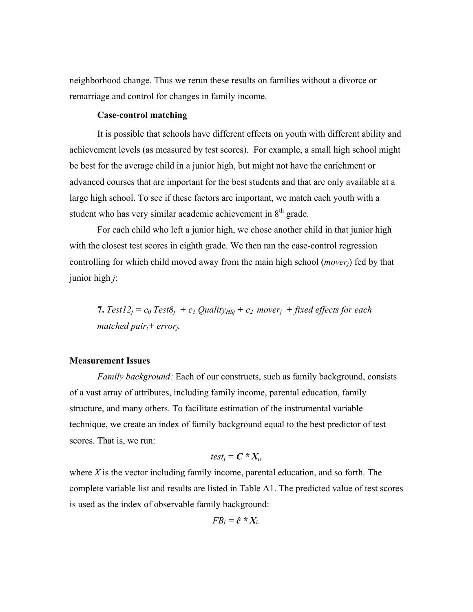neighborhood change. Thus we rerun these results on families without a divorce or remarriage and control for changes in family income.

# **Case-control matching**

It is possible that schools have different effects on youth with different ability and achievement levels (as measured by test scores). For example, a small high school might be best for the average child in a junior high, but might not have the enrichment or advanced courses that are important for the best students and that are only available at a large high school. To see if these factors are important, we match each youth with a student who has very similar academic achievement in  $8<sup>th</sup>$  grade.

For each child who left a junior high, we chose another child in that junior high with the closest test scores in eighth grade. We then ran the case-control regression controlling for which child moved away from the main high school (*moverj*) fed by that junior high *j*:

**7.** Test12<sub>i</sub> =  $c_0$  Test8<sub>i</sub> +  $c_1$  Quality<sub>HSi</sub> +  $c_2$  mover<sub>i</sub> + fixed effects for each *matched pairi+ errorj.* 

#### **Measurement Issues**

*Family background:* Each of our constructs, such as family background, consists of a vast array of attributes, including family income, parental education, family structure, and many others. To facilitate estimation of the instrumental variable technique, we create an index of family background equal to the best predictor of test scores. That is, we run:

$$
test_i = \boldsymbol{C} * X_i,
$$

where *X* is the vector including family income, parental education, and so forth. The complete variable list and results are listed in Table A1. The predicted value of test scores is used as the index of observable family background:

$$
FB_i = \hat{c} * X_i.
$$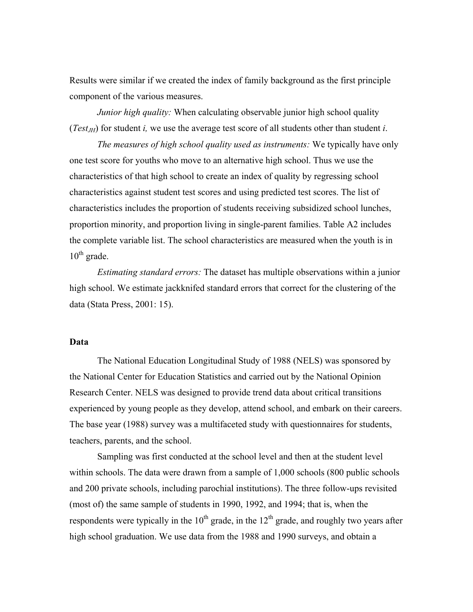Results were similar if we created the index of family background as the first principle component of the various measures.

*Junior high quality:* When calculating observable junior high school quality (*Test<sub>IH</sub>*) for student *i*, we use the average test score of all students other than student *i*.

*The measures of high school quality used as instruments:* We typically have only one test score for youths who move to an alternative high school. Thus we use the characteristics of that high school to create an index of quality by regressing school characteristics against student test scores and using predicted test scores. The list of characteristics includes the proportion of students receiving subsidized school lunches, proportion minority, and proportion living in single-parent families. Table A2 includes the complete variable list. The school characteristics are measured when the youth is in  $10^{th}$  grade.

 *Estimating standard errors:* The dataset has multiple observations within a junior high school. We estimate jackknifed standard errors that correct for the clustering of the data (Stata Press, 2001: 15).

# **Data**

The National Education Longitudinal Study of 1988 (NELS) was sponsored by the National Center for Education Statistics and carried out by the National Opinion Research Center. NELS was designed to provide trend data about critical transitions experienced by young people as they develop, attend school, and embark on their careers. The base year (1988) survey was a multifaceted study with questionnaires for students, teachers, parents, and the school.

Sampling was first conducted at the school level and then at the student level within schools. The data were drawn from a sample of 1,000 schools (800 public schools and 200 private schools, including parochial institutions). The three follow-ups revisited (most of) the same sample of students in 1990, 1992, and 1994; that is, when the respondents were typically in the  $10^{th}$  grade, in the  $12^{th}$  grade, and roughly two years after high school graduation. We use data from the 1988 and 1990 surveys, and obtain a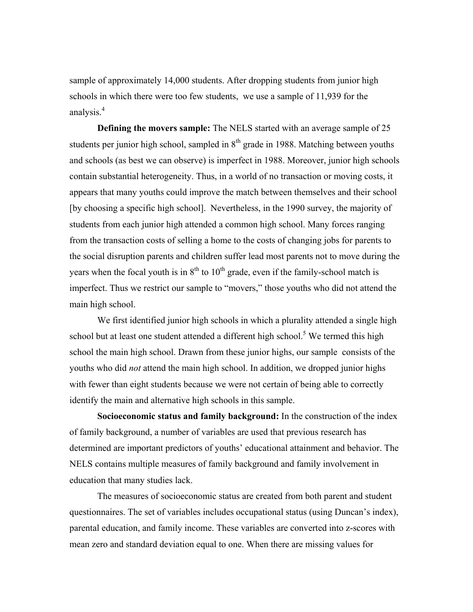sample of approximately 14,000 students. After dropping students from junior high schools in which there were too few students, we use a sample of 11,939 for the analysis.<sup>4</sup>

**Defining the movers sample:** The NELS started with an average sample of 25 students per junior high school, sampled in  $8<sup>th</sup>$  grade in 1988. Matching between youths and schools (as best we can observe) is imperfect in 1988. Moreover, junior high schools contain substantial heterogeneity. Thus, in a world of no transaction or moving costs, it appears that many youths could improve the match between themselves and their school [by choosing a specific high school]. Nevertheless, in the 1990 survey, the majority of students from each junior high attended a common high school. Many forces ranging from the transaction costs of selling a home to the costs of changing jobs for parents to the social disruption parents and children suffer lead most parents not to move during the years when the focal youth is in  $8<sup>th</sup>$  to  $10<sup>th</sup>$  grade, even if the family-school match is imperfect. Thus we restrict our sample to "movers," those youths who did not attend the main high school.

We first identified junior high schools in which a plurality attended a single high school but at least one student attended a different high school.<sup>5</sup> We termed this high school the main high school. Drawn from these junior highs, our sample consists of the youths who did *not* attend the main high school. In addition, we dropped junior highs with fewer than eight students because we were not certain of being able to correctly identify the main and alternative high schools in this sample.

**Socioeconomic status and family background:** In the construction of the index of family background, a number of variables are used that previous research has determined are important predictors of youths' educational attainment and behavior. The NELS contains multiple measures of family background and family involvement in education that many studies lack.

The measures of socioeconomic status are created from both parent and student questionnaires. The set of variables includes occupational status (using Duncan's index), parental education, and family income. These variables are converted into z-scores with mean zero and standard deviation equal to one. When there are missing values for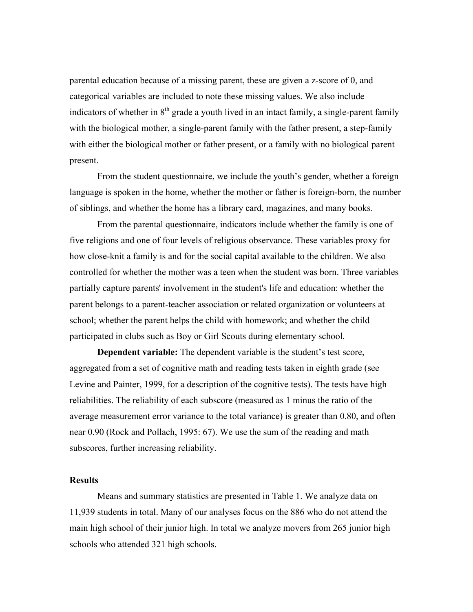parental education because of a missing parent, these are given a z-score of 0, and categorical variables are included to note these missing values. We also include indicators of whether in  $8<sup>th</sup>$  grade a youth lived in an intact family, a single-parent family with the biological mother, a single-parent family with the father present, a step-family with either the biological mother or father present, or a family with no biological parent present.

From the student questionnaire, we include the youth's gender, whether a foreign language is spoken in the home, whether the mother or father is foreign-born, the number of siblings, and whether the home has a library card, magazines, and many books.

From the parental questionnaire, indicators include whether the family is one of five religions and one of four levels of religious observance. These variables proxy for how close-knit a family is and for the social capital available to the children. We also controlled for whether the mother was a teen when the student was born. Three variables partially capture parents' involvement in the student's life and education: whether the parent belongs to a parent-teacher association or related organization or volunteers at school; whether the parent helps the child with homework; and whether the child participated in clubs such as Boy or Girl Scouts during elementary school.

**Dependent variable:** The dependent variable is the student's test score, aggregated from a set of cognitive math and reading tests taken in eighth grade (see Levine and Painter, 1999, for a description of the cognitive tests). The tests have high reliabilities. The reliability of each subscore (measured as 1 minus the ratio of the average measurement error variance to the total variance) is greater than 0.80, and often near 0.90 (Rock and Pollach, 1995: 67). We use the sum of the reading and math subscores, further increasing reliability.

### **Results**

Means and summary statistics are presented in Table 1. We analyze data on 11,939 students in total. Many of our analyses focus on the 886 who do not attend the main high school of their junior high. In total we analyze movers from 265 junior high schools who attended 321 high schools.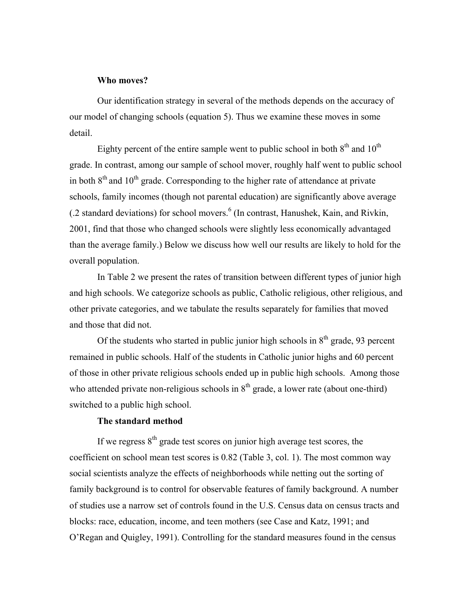## **Who moves?**

Our identification strategy in several of the methods depends on the accuracy of our model of changing schools (equation 5). Thus we examine these moves in some detail.

Eighty percent of the entire sample went to public school in both  $8<sup>th</sup>$  and  $10<sup>th</sup>$ grade. In contrast, among our sample of school mover, roughly half went to public school in both  $8<sup>th</sup>$  and  $10<sup>th</sup>$  grade. Corresponding to the higher rate of attendance at private schools, family incomes (though not parental education) are significantly above average  $(0.2 \text{ standard deviations})$  for school movers.<sup>6</sup> (In contrast, Hanushek, Kain, and Rivkin, 2001, find that those who changed schools were slightly less economically advantaged than the average family.) Below we discuss how well our results are likely to hold for the overall population.

In Table 2 we present the rates of transition between different types of junior high and high schools. We categorize schools as public, Catholic religious, other religious, and other private categories, and we tabulate the results separately for families that moved and those that did not.

Of the students who started in public junior high schools in  $8<sup>th</sup>$  grade, 93 percent remained in public schools. Half of the students in Catholic junior highs and 60 percent of those in other private religious schools ended up in public high schools. Among those who attended private non-religious schools in  $8<sup>th</sup>$  grade, a lower rate (about one-third) switched to a public high school.

# **The standard method**

If we regress  $8<sup>th</sup>$  grade test scores on junior high average test scores, the coefficient on school mean test scores is 0.82 (Table 3, col. 1). The most common way social scientists analyze the effects of neighborhoods while netting out the sorting of family background is to control for observable features of family background. A number of studies use a narrow set of controls found in the U.S. Census data on census tracts and blocks: race, education, income, and teen mothers (see Case and Katz, 1991; and O'Regan and Quigley, 1991). Controlling for the standard measures found in the census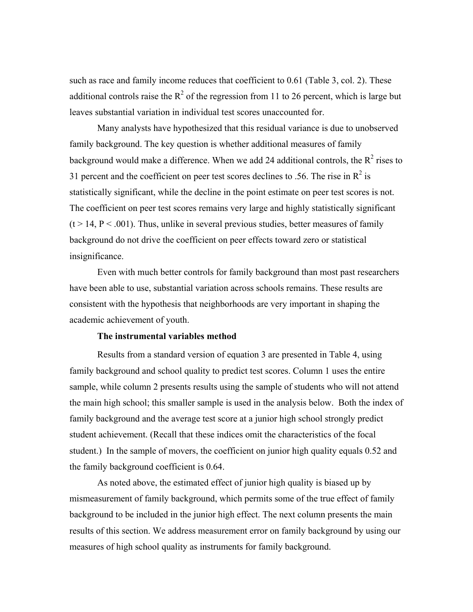such as race and family income reduces that coefficient to 0.61 (Table 3, col. 2). These additional controls raise the  $R^2$  of the regression from 11 to 26 percent, which is large but leaves substantial variation in individual test scores unaccounted for.

Many analysts have hypothesized that this residual variance is due to unobserved family background. The key question is whether additional measures of family background would make a difference. When we add 24 additional controls, the  $R^2$  rises to 31 percent and the coefficient on peer test scores declines to .56. The rise in  $\mathbb{R}^2$  is statistically significant, while the decline in the point estimate on peer test scores is not. The coefficient on peer test scores remains very large and highly statistically significant  $(t > 14, P < .001)$ . Thus, unlike in several previous studies, better measures of family background do not drive the coefficient on peer effects toward zero or statistical insignificance.

Even with much better controls for family background than most past researchers have been able to use, substantial variation across schools remains. These results are consistent with the hypothesis that neighborhoods are very important in shaping the academic achievement of youth.

#### **The instrumental variables method**

Results from a standard version of equation 3 are presented in Table 4, using family background and school quality to predict test scores. Column 1 uses the entire sample, while column 2 presents results using the sample of students who will not attend the main high school; this smaller sample is used in the analysis below. Both the index of family background and the average test score at a junior high school strongly predict student achievement. (Recall that these indices omit the characteristics of the focal student.) In the sample of movers, the coefficient on junior high quality equals 0.52 and the family background coefficient is 0.64.

As noted above, the estimated effect of junior high quality is biased up by mismeasurement of family background, which permits some of the true effect of family background to be included in the junior high effect. The next column presents the main results of this section. We address measurement error on family background by using our measures of high school quality as instruments for family background.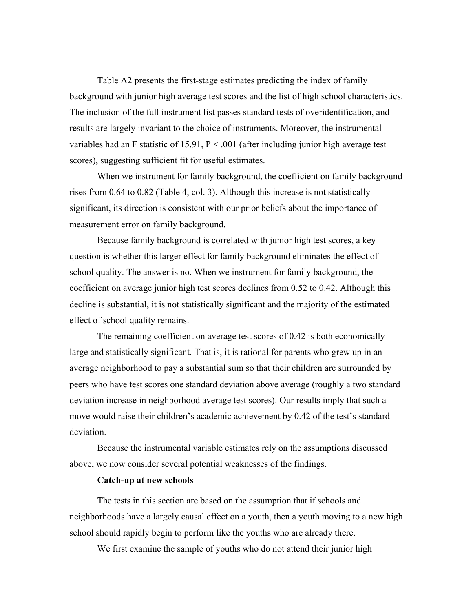Table A2 presents the first-stage estimates predicting the index of family background with junior high average test scores and the list of high school characteristics. The inclusion of the full instrument list passes standard tests of overidentification, and results are largely invariant to the choice of instruments. Moreover, the instrumental variables had an F statistic of 15.91,  $P < .001$  (after including junior high average test scores), suggesting sufficient fit for useful estimates.

When we instrument for family background, the coefficient on family background rises from 0.64 to 0.82 (Table 4, col. 3). Although this increase is not statistically significant, its direction is consistent with our prior beliefs about the importance of measurement error on family background.

Because family background is correlated with junior high test scores, a key question is whether this larger effect for family background eliminates the effect of school quality. The answer is no. When we instrument for family background, the coefficient on average junior high test scores declines from 0.52 to 0.42. Although this decline is substantial, it is not statistically significant and the majority of the estimated effect of school quality remains.

The remaining coefficient on average test scores of 0.42 is both economically large and statistically significant. That is, it is rational for parents who grew up in an average neighborhood to pay a substantial sum so that their children are surrounded by peers who have test scores one standard deviation above average (roughly a two standard deviation increase in neighborhood average test scores). Our results imply that such a move would raise their children's academic achievement by 0.42 of the test's standard deviation.

Because the instrumental variable estimates rely on the assumptions discussed above, we now consider several potential weaknesses of the findings.

#### **Catch-up at new schools**

The tests in this section are based on the assumption that if schools and neighborhoods have a largely causal effect on a youth, then a youth moving to a new high school should rapidly begin to perform like the youths who are already there.

We first examine the sample of youths who do not attend their junior high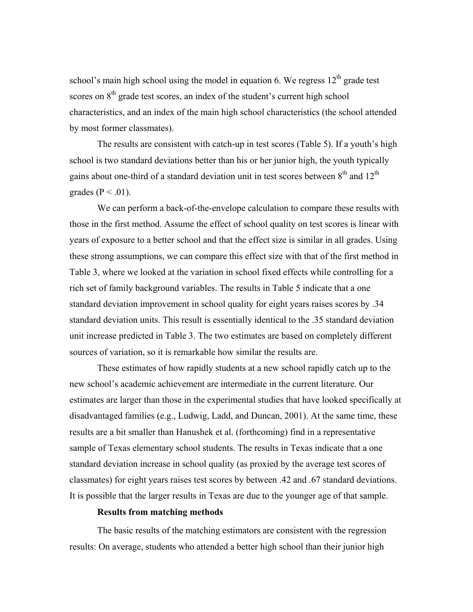school's main high school using the model in equation 6. We regress  $12<sup>th</sup>$  grade test scores on  $8<sup>th</sup>$  grade test scores, an index of the student's current high school characteristics, and an index of the main high school characteristics (the school attended by most former classmates).

The results are consistent with catch-up in test scores (Table 5). If a youth's high school is two standard deviations better than his or her junior high, the youth typically gains about one-third of a standard deviation unit in test scores between  $8<sup>th</sup>$  and  $12<sup>th</sup>$ grades ( $P < .01$ ).

We can perform a back-of-the-envelope calculation to compare these results with those in the first method. Assume the effect of school quality on test scores is linear with years of exposure to a better school and that the effect size is similar in all grades. Using these strong assumptions, we can compare this effect size with that of the first method in Table 3, where we looked at the variation in school fixed effects while controlling for a rich set of family background variables. The results in Table 5 indicate that a one standard deviation improvement in school quality for eight years raises scores by .34 standard deviation units. This result is essentially identical to the .35 standard deviation unit increase predicted in Table 3. The two estimates are based on completely different sources of variation, so it is remarkable how similar the results are.

These estimates of how rapidly students at a new school rapidly catch up to the new school's academic achievement are intermediate in the current literature. Our estimates are larger than those in the experimental studies that have looked specifically at disadvantaged families (e.g., Ludwig, Ladd, and Duncan, 2001). At the same time, these results are a bit smaller than Hanushek et al. (forthcoming) find in a representative sample of Texas elementary school students. The results in Texas indicate that a one standard deviation increase in school quality (as proxied by the average test scores of classmates) for eight years raises test scores by between .42 and .67 standard deviations. It is possible that the larger results in Texas are due to the younger age of that sample.

#### **Results from matching methods**

The basic results of the matching estimators are consistent with the regression results: On average, students who attended a better high school than their junior high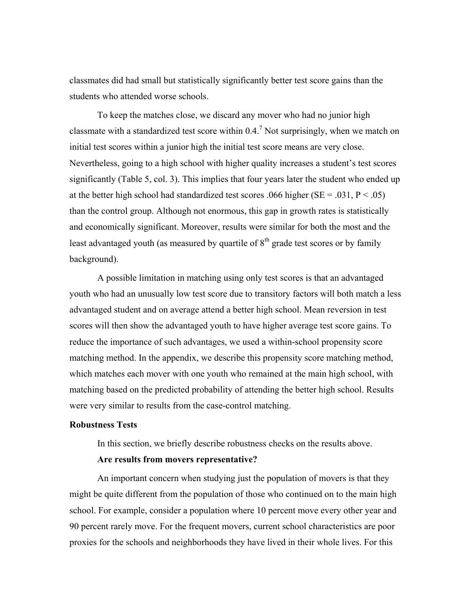classmates did had small but statistically significantly better test score gains than the students who attended worse schools.

To keep the matches close, we discard any mover who had no junior high classmate with a standardized test score within  $0.4$ .<sup>[7](#page-44-6)</sup> Not surprisingly, when we match on initial test scores within a junior high the initial test score means are very close. Nevertheless, going to a high school with higher quality increases a student's test scores significantly (Table 5, col. 3). This implies that four years later the student who ended up at the better high school had standardized test scores .066 higher ( $SE = .031$ ,  $P < .05$ ) than the control group. Although not enormous, this gap in growth rates is statistically and economically significant. Moreover, results were similar for both the most and the least advantaged youth (as measured by quartile of  $8<sup>th</sup>$  grade test scores or by family background).

A possible limitation in matching using only test scores is that an advantaged youth who had an unusually low test score due to transitory factors will both match a less advantaged student and on average attend a better high school. Mean reversion in test scores will then show the advantaged youth to have higher average test score gains. To reduce the importance of such advantages, we used a within-school propensity score matching method. In the appendix, we describe this propensity score matching method, which matches each mover with one youth who remained at the main high school, with matching based on the predicted probability of attending the better high school. Results were very similar to results from the case-control matching.

#### **Robustness Tests**

In this section, we briefly describe robustness checks on the results above.

#### **Are results from movers representative?**

An important concern when studying just the population of movers is that they might be quite different from the population of those who continued on to the main high school. For example, consider a population where 10 percent move every other year and 90 percent rarely move. For the frequent movers, current school characteristics are poor proxies for the schools and neighborhoods they have lived in their whole lives. For this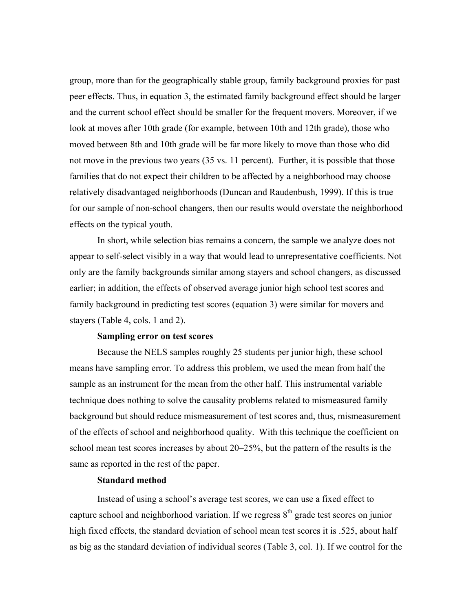group, more than for the geographically stable group, family background proxies for past peer effects. Thus, in equation 3, the estimated family background effect should be larger and the current school effect should be smaller for the frequent movers. Moreover, if we look at moves after 10th grade (for example, between 10th and 12th grade), those who moved between 8th and 10th grade will be far more likely to move than those who did not move in the previous two years (35 vs. 11 percent). Further, it is possible that those families that do not expect their children to be affected by a neighborhood may choose relatively disadvantaged neighborhoods (Duncan and Raudenbush, 1999). If this is true for our sample of non-school changers, then our results would overstate the neighborhood effects on the typical youth.

In short, while selection bias remains a concern, the sample we analyze does not appear to self-select visibly in a way that would lead to unrepresentative coefficients. Not only are the family backgrounds similar among stayers and school changers, as discussed earlier; in addition, the effects of observed average junior high school test scores and family background in predicting test scores (equation 3) were similar for movers and stayers (Table 4, cols. 1 and 2).

#### **Sampling error on test scores**

Because the NELS samples roughly 25 students per junior high, these school means have sampling error. To address this problem, we used the mean from half the sample as an instrument for the mean from the other half. This instrumental variable technique does nothing to solve the causality problems related to mismeasured family background but should reduce mismeasurement of test scores and, thus, mismeasurement of the effects of school and neighborhood quality. With this technique the coefficient on school mean test scores increases by about 20–25%, but the pattern of the results is the same as reported in the rest of the paper.

# **Standard method**

Instead of using a school's average test scores, we can use a fixed effect to capture school and neighborhood variation. If we regress  $8<sup>th</sup>$  grade test scores on junior high fixed effects, the standard deviation of school mean test scores it is .525, about half as big as the standard deviation of individual scores (Table 3, col. 1). If we control for the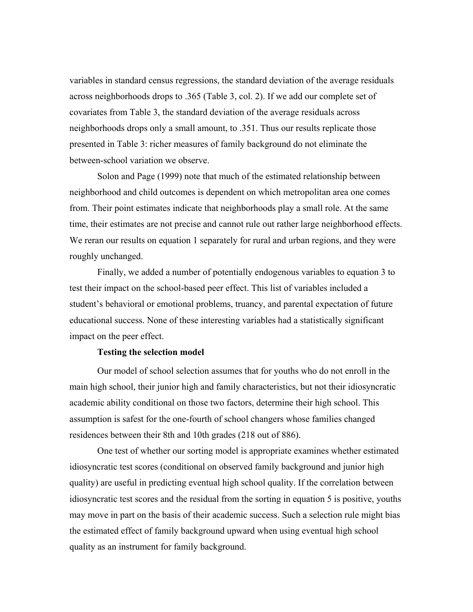variables in standard census regressions, the standard deviation of the average residuals across neighborhoods drops to .365 (Table 3, col. 2). If we add our complete set of covariates from Table 3, the standard deviation of the average residuals across neighborhoods drops only a small amount, to .351. Thus our results replicate those presented in Table 3: richer measures of family background do not eliminate the between-school variation we observe.

Solon and Page (1999) note that much of the estimated relationship between neighborhood and child outcomes is dependent on which metropolitan area one comes from. Their point estimates indicate that neighborhoods play a small role. At the same time, their estimates are not precise and cannot rule out rather large neighborhood effects. We reran our results on equation 1 separately for rural and urban regions, and they were roughly unchanged.

Finally, we added a number of potentially endogenous variables to equation 3 to test their impact on the school-based peer effect. This list of variables included a student's behavioral or emotional problems, truancy, and parental expectation of future educational success. None of these interesting variables had a statistically significant impact on the peer effect.

#### **Testing the selection model**

Our model of school selection assumes that for youths who do not enroll in the main high school, their junior high and family characteristics, but not their idiosyncratic academic ability conditional on those two factors, determine their high school. This assumption is safest for the one-fourth of school changers whose families changed residences between their 8th and 10th grades (218 out of 886).

One test of whether our sorting model is appropriate examines whether estimated idiosyncratic test scores (conditional on observed family background and junior high quality) are useful in predicting eventual high school quality. If the correlation between idiosyncratic test scores and the residual from the sorting in equation 5 is positive, youths may move in part on the basis of their academic success. Such a selection rule might bias the estimated effect of family background upward when using eventual high school quality as an instrument for family background.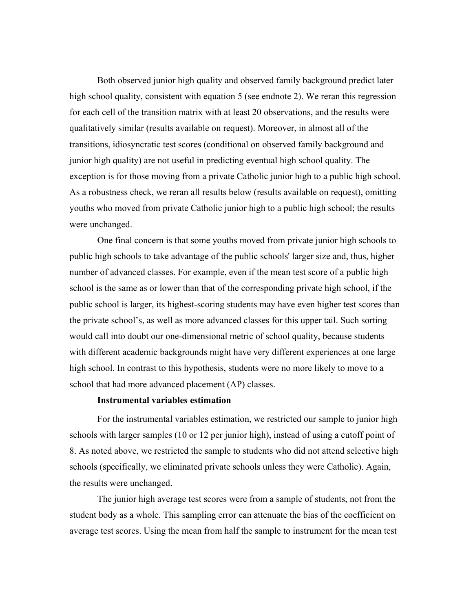Both observed junior high quality and observed family background predict later high school quality, consistent with equation 5 (see endnote 2). We reran this regression for each cell of the transition matrix with at least 20 observations, and the results were qualitatively similar (results available on request). Moreover, in almost all of the transitions, idiosyncratic test scores (conditional on observed family background and junior high quality) are not useful in predicting eventual high school quality. The exception is for those moving from a private Catholic junior high to a public high school. As a robustness check, we reran all results below (results available on request), omitting youths who moved from private Catholic junior high to a public high school; the results were unchanged.

One final concern is that some youths moved from private junior high schools to public high schools to take advantage of the public schools' larger size and, thus, higher number of advanced classes. For example, even if the mean test score of a public high school is the same as or lower than that of the corresponding private high school, if the public school is larger, its highest-scoring students may have even higher test scores than the private school's, as well as more advanced classes for this upper tail. Such sorting would call into doubt our one-dimensional metric of school quality, because students with different academic backgrounds might have very different experiences at one large high school. In contrast to this hypothesis, students were no more likely to move to a school that had more advanced placement (AP) classes.

#### **Instrumental variables estimation**

For the instrumental variables estimation, we restricted our sample to junior high schools with larger samples (10 or 12 per junior high), instead of using a cutoff point of 8. As noted above, we restricted the sample to students who did not attend selective high schools (specifically, we eliminated private schools unless they were Catholic). Again, the results were unchanged.

The junior high average test scores were from a sample of students, not from the student body as a whole. This sampling error can attenuate the bias of the coefficient on average test scores. Using the mean from half the sample to instrument for the mean test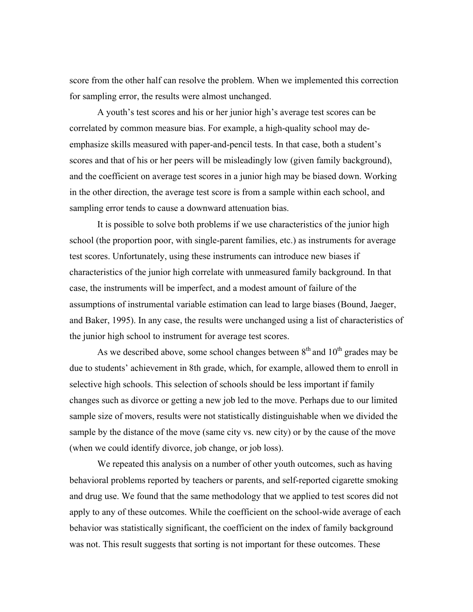score from the other half can resolve the problem. When we implemented this correction for sampling error, the results were almost unchanged.

A youth's test scores and his or her junior high's average test scores can be correlated by common measure bias. For example, a high-quality school may deemphasize skills measured with paper-and-pencil tests. In that case, both a student's scores and that of his or her peers will be misleadingly low (given family background), and the coefficient on average test scores in a junior high may be biased down. Working in the other direction, the average test score is from a sample within each school, and sampling error tends to cause a downward attenuation bias.

It is possible to solve both problems if we use characteristics of the junior high school (the proportion poor, with single-parent families, etc.) as instruments for average test scores. Unfortunately, using these instruments can introduce new biases if characteristics of the junior high correlate with unmeasured family background. In that case, the instruments will be imperfect, and a modest amount of failure of the assumptions of instrumental variable estimation can lead to large biases (Bound, Jaeger, and Baker, 1995). In any case, the results were unchanged using a list of characteristics of the junior high school to instrument for average test scores.

As we described above, some school changes between  $8<sup>th</sup>$  and  $10<sup>th</sup>$  grades may be due to students' achievement in 8th grade, which, for example, allowed them to enroll in selective high schools. This selection of schools should be less important if family changes such as divorce or getting a new job led to the move. Perhaps due to our limited sample size of movers, results were not statistically distinguishable when we divided the sample by the distance of the move (same city vs. new city) or by the cause of the move (when we could identify divorce, job change, or job loss).

We repeated this analysis on a number of other youth outcomes, such as having behavioral problems reported by teachers or parents, and self-reported cigarette smoking and drug use. We found that the same methodology that we applied to test scores did not apply to any of these outcomes. While the coefficient on the school-wide average of each behavior was statistically significant, the coefficient on the index of family background was not. This result suggests that sorting is not important for these outcomes. These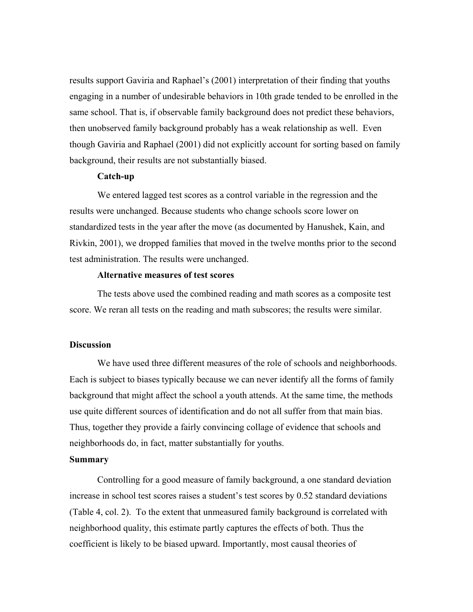results support Gaviria and Raphael's (2001) interpretation of their finding that youths engaging in a number of undesirable behaviors in 10th grade tended to be enrolled in the same school. That is, if observable family background does not predict these behaviors, then unobserved family background probably has a weak relationship as well. Even though Gaviria and Raphael (2001) did not explicitly account for sorting based on family background, their results are not substantially biased.

#### **Catch-up**

We entered lagged test scores as a control variable in the regression and the results were unchanged. Because students who change schools score lower on standardized tests in the year after the move (as documented by Hanushek, Kain, and Rivkin, 2001), we dropped families that moved in the twelve months prior to the second test administration. The results were unchanged.

#### **Alternative measures of test scores**

The tests above used the combined reading and math scores as a composite test score. We reran all tests on the reading and math subscores; the results were similar.

# **Discussion**

We have used three different measures of the role of schools and neighborhoods. Each is subject to biases typically because we can never identify all the forms of family background that might affect the school a youth attends. At the same time, the methods use quite different sources of identification and do not all suffer from that main bias. Thus, together they provide a fairly convincing collage of evidence that schools and neighborhoods do, in fact, matter substantially for youths.

#### **Summary**

Controlling for a good measure of family background, a one standard deviation increase in school test scores raises a student's test scores by 0.52 standard deviations (Table 4, col. 2). To the extent that unmeasured family background is correlated with neighborhood quality, this estimate partly captures the effects of both. Thus the coefficient is likely to be biased upward. Importantly, most causal theories of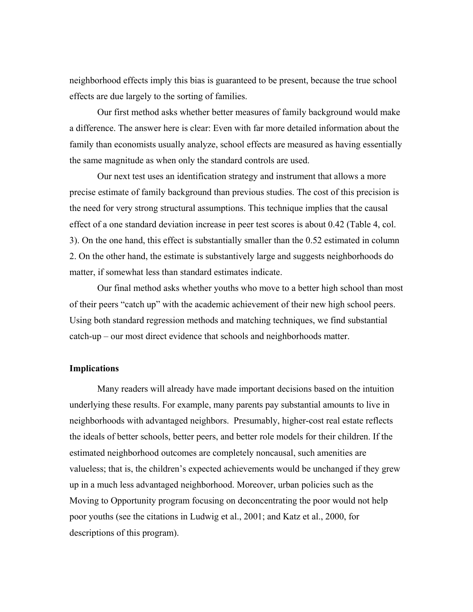neighborhood effects imply this bias is guaranteed to be present, because the true school effects are due largely to the sorting of families.

Our first method asks whether better measures of family background would make a difference. The answer here is clear: Even with far more detailed information about the family than economists usually analyze, school effects are measured as having essentially the same magnitude as when only the standard controls are used.

Our next test uses an identification strategy and instrument that allows a more precise estimate of family background than previous studies. The cost of this precision is the need for very strong structural assumptions. This technique implies that the causal effect of a one standard deviation increase in peer test scores is about 0.42 (Table 4, col. 3). On the one hand, this effect is substantially smaller than the 0.52 estimated in column 2. On the other hand, the estimate is substantively large and suggests neighborhoods do matter, if somewhat less than standard estimates indicate.

Our final method asks whether youths who move to a better high school than most of their peers "catch up" with the academic achievement of their new high school peers. Using both standard regression methods and matching techniques, we find substantial catch-up – our most direct evidence that schools and neighborhoods matter.

#### **Implications**

Many readers will already have made important decisions based on the intuition underlying these results. For example, many parents pay substantial amounts to live in neighborhoods with advantaged neighbors. Presumably, higher-cost real estate reflects the ideals of better schools, better peers, and better role models for their children. If the estimated neighborhood outcomes are completely noncausal, such amenities are valueless; that is, the children's expected achievements would be unchanged if they grew up in a much less advantaged neighborhood. Moreover, urban policies such as the Moving to Opportunity program focusing on deconcentrating the poor would not help poor youths (see the citations in Ludwig et al., 2001; and Katz et al., 2000, for descriptions of this program).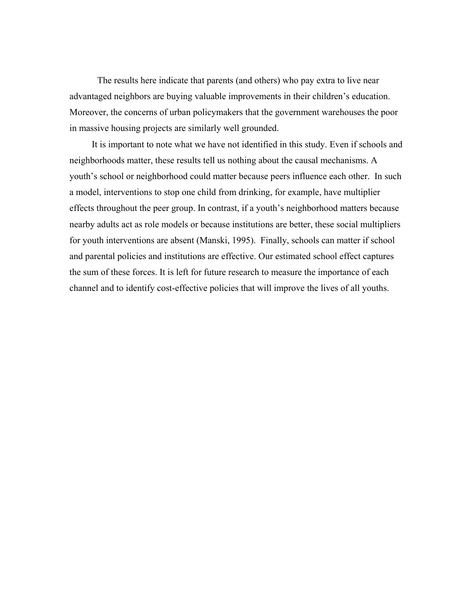The results here indicate that parents (and others) who pay extra to live near advantaged neighbors are buying valuable improvements in their children's education. Moreover, the concerns of urban policymakers that the government warehouses the poor in massive housing projects are similarly well grounded.

It is important to note what we have not identified in this study. Even if schools and neighborhoods matter, these results tell us nothing about the causal mechanisms. A youth's school or neighborhood could matter because peers influence each other. In such a model, interventions to stop one child from drinking, for example, have multiplier effects throughout the peer group. In contrast, if a youth's neighborhood matters because nearby adults act as role models or because institutions are better, these social multipliers for youth interventions are absent (Manski, 1995). Finally, schools can matter if school and parental policies and institutions are effective. Our estimated school effect captures the sum of these forces. It is left for future research to measure the importance of each channel and to identify cost-effective policies that will improve the lives of all youths.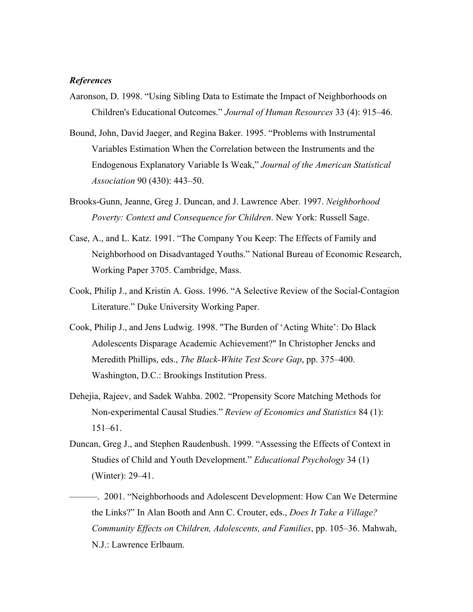#### *References*

- Aaronson, D. 1998. "Using Sibling Data to Estimate the Impact of Neighborhoods on Children's Educational Outcomes." *Journal of Human Resources* 33 (4): 915–46.
- Bound, John, David Jaeger, and Regina Baker. 1995. "Problems with Instrumental Variables Estimation When the Correlation between the Instruments and the Endogenous Explanatory Variable Is Weak," *Journal of the American Statistical Association* 90 (430): 443–50.
- Brooks-Gunn, Jeanne, Greg J. Duncan, and J. Lawrence Aber. 1997. *Neighborhood Poverty: Context and Consequence for Children*. New York: Russell Sage.
- Case, A., and L. Katz. 1991. "The Company You Keep: The Effects of Family and Neighborhood on Disadvantaged Youths." National Bureau of Economic Research, Working Paper 3705. Cambridge, Mass.
- Cook, Philip J., and Kristin A. Goss. 1996. "A Selective Review of the Social-Contagion Literature." Duke University Working Paper.
- Cook, Philip J., and Jens Ludwig. 1998. "The Burden of 'Acting White': Do Black Adolescents Disparage Academic Achievement?" In Christopher Jencks and Meredith Phillips, eds., *The Black-White Test Score Gap*, pp. 375–400. Washington, D.C.: Brookings Institution Press.
- Dehejia, Rajeev, and Sadek Wahba. 2002. "Propensity Score Matching Methods for Non-experimental Causal Studies." *Review of Economics and Statistics* 84 (1): 151–61.
- Duncan, Greg J., and Stephen Raudenbush. 1999. "Assessing the Effects of Context in Studies of Child and Youth Development." *Educational Psychology* 34 (1) (Winter): 29–41.
- ———. 2001. "Neighborhoods and Adolescent Development: How Can We Determine the Links?" In Alan Booth and Ann C. Crouter, eds., *Does It Take a Village? Community Effects on Children, Adolescents, and Families*, pp. 105–36. Mahwah, N.J.: Lawrence Erlbaum.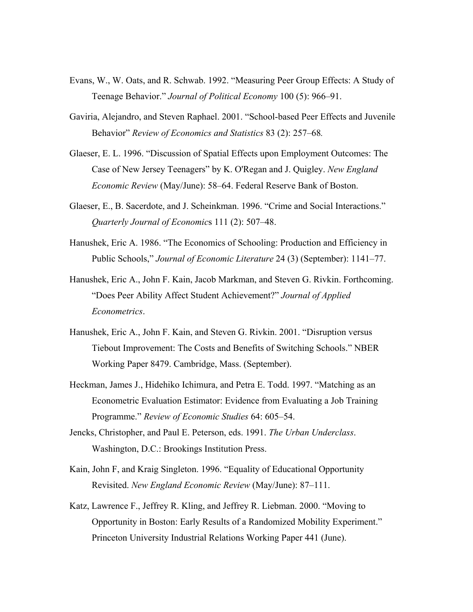- Evans, W., W. Oats, and R. Schwab. 1992. "Measuring Peer Group Effects: A Study of Teenage Behavior." *Journal of Political Economy* 100 (5): 966–91.
- Gaviria, Alejandro, and Steven Raphael. 2001. "School-based Peer Effects and Juvenile Behavior" *Review of Economics and Statistics* 83 (2): 257–68*.*
- Glaeser, E. L. 1996. "Discussion of Spatial Effects upon Employment Outcomes: The Case of New Jersey Teenagers" by K. O'Regan and J. Quigley. *New England Economic Review* (May/June): 58–64. Federal Reserve Bank of Boston.
- Glaeser, E., B. Sacerdote, and J. Scheinkman. 1996. "Crime and Social Interactions." *Quarterly Journal of Economic*s 111 (2): 507–48.
- Hanushek, Eric A. 1986. "The Economics of Schooling: Production and Efficiency in Public Schools," *Journal of Economic Literature* 24 (3) (September): 1141–77.
- Hanushek, Eric A., John F. Kain, Jacob Markman, and Steven G. Rivkin. Forthcoming. "Does Peer Ability Affect Student Achievement?" *Journal of Applied Econometrics*.
- Hanushek, Eric A., John F. Kain, and Steven G. Rivkin. 2001. "Disruption versus Tiebout Improvement: The Costs and Benefits of Switching Schools." NBER Working Paper 8479. Cambridge, Mass. (September).
- Heckman, James J., Hidehiko Ichimura, and Petra E. Todd. 1997. "Matching as an Econometric Evaluation Estimator: Evidence from Evaluating a Job Training Programme." *Review of Economic Studies* 64: 605–54.
- Jencks, Christopher, and Paul E. Peterson, eds. 1991. *The Urban Underclass*. Washington, D.C.: Brookings Institution Press.
- Kain, John F, and Kraig Singleton. 1996. "Equality of Educational Opportunity Revisited. *New England Economic Review* (May/June): 87–111.
- Katz, Lawrence F., Jeffrey R. Kling, and Jeffrey R. Liebman. 2000. "Moving to Opportunity in Boston: Early Results of a Randomized Mobility Experiment." Princeton University Industrial Relations Working Paper 441 (June).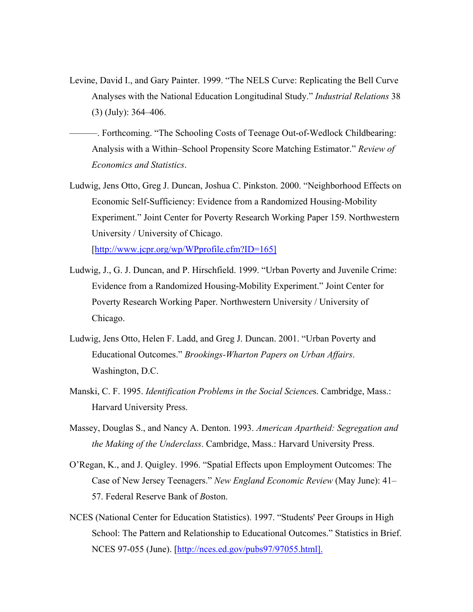- Levine, David I., and Gary Painter. 1999. "The NELS Curve: Replicating the Bell Curve Analyses with the National Education Longitudinal Study." *Industrial Relations* 38 (3) (July): 364–406.
- ———. Forthcoming. "The Schooling Costs of Teenage Out-of-Wedlock Childbearing: Analysis with a Within–School Propensity Score Matching Estimator." *Review of Economics and Statistics*.
- Ludwig, Jens Otto, Greg J. Duncan, Joshua C. Pinkston. 2000. "Neighborhood Effects on Economic Self-Sufficiency: Evidence from a Randomized Housing-Mobility Experiment." Joint Center for Poverty Research Working Paper 159. Northwestern University / University of Chicago.

[http://www.jcpr.org/wp/WPprofile.cfm?ID=165]

- Ludwig, J., G. J. Duncan, and P. Hirschfield. 1999. "Urban Poverty and Juvenile Crime: Evidence from a Randomized Housing-Mobility Experiment." Joint Center for Poverty Research Working Paper. Northwestern University / University of Chicago.
- Ludwig, Jens Otto, Helen F. Ladd, and Greg J. Duncan. 2001. "Urban Poverty and Educational Outcomes." *Brookings-Wharton Papers on Urban Affairs*. Washington, D.C.
- Manski, C. F. 1995. *Identification Problems in the Social Science*s. Cambridge, Mass.: Harvard University Press.
- Massey, Douglas S., and Nancy A. Denton. 1993. *American Apartheid: Segregation and the Making of the Underclass*. Cambridge, Mass.: Harvard University Press.
- O'Regan, K., and J. Quigley. 1996. "Spatial Effects upon Employment Outcomes: The Case of New Jersey Teenagers." *New England Economic Review* (May June): 41– 57. Federal Reserve Bank of *B*oston.
- NCES (National Center for Education Statistics). 1997. "Students' Peer Groups in High School: The Pattern and Relationship to Educational Outcomes." Statistics in Brief. NCES 97-055 (June). [http://nces.ed.gov/pubs97/97055.html].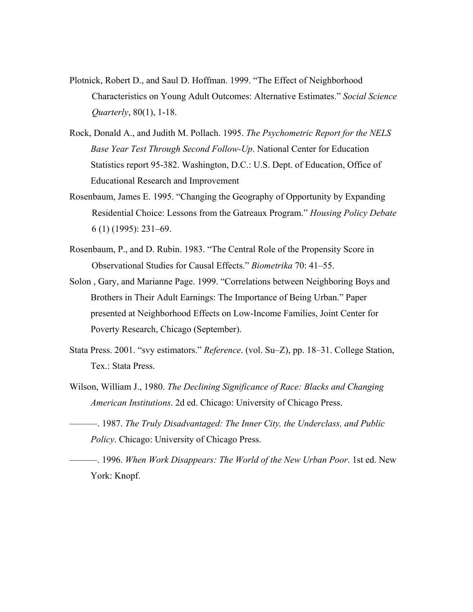- Plotnick, Robert D., and Saul D. Hoffman. 1999. "The Effect of Neighborhood Characteristics on Young Adult Outcomes: Alternative Estimates." *Social Science Quarterly*, 80(1), 1-18.
- Rock, Donald A., and Judith M. Pollach. 1995. *The Psychometric Report for the NELS Base Year Test Through Second Follow-Up*. National Center for Education Statistics report 95-382. Washington, D.C.: U.S. Dept. of Education, Office of Educational Research and Improvement
- Rosenbaum, James E. 1995. "Changing the Geography of Opportunity by Expanding Residential Choice: Lessons from the Gatreaux Program." *Housing Policy Debate* 6 (1) (1995): 231–69.
- Rosenbaum, P., and D. Rubin. 1983. "The Central Role of the Propensity Score in Observational Studies for Causal Effects." *Biometrika* 70: 41–55.
- Solon , Gary, and Marianne Page. 1999. "Correlations between Neighboring Boys and Brothers in Their Adult Earnings: The Importance of Being Urban." Paper presented at Neighborhood Effects on Low-Income Families, Joint Center for Poverty Research, Chicago (September).
- Stata Press. 2001. "svy estimators." *Reference*. (vol. Su–Z), pp. 18–31. College Station, Tex.: Stata Press.
- Wilson, William J., 1980. *The Declining Significance of Race: Blacks and Changing American Institutions*. 2d ed. Chicago: University of Chicago Press.
- ———. 1987. *The Truly Disadvantaged: The Inner City, the Underclass, and Public Policy*. Chicago: University of Chicago Press.
- ———. 1996. *When Work Disappears: The World of the New Urban Poor*. 1st ed. New York: Knopf.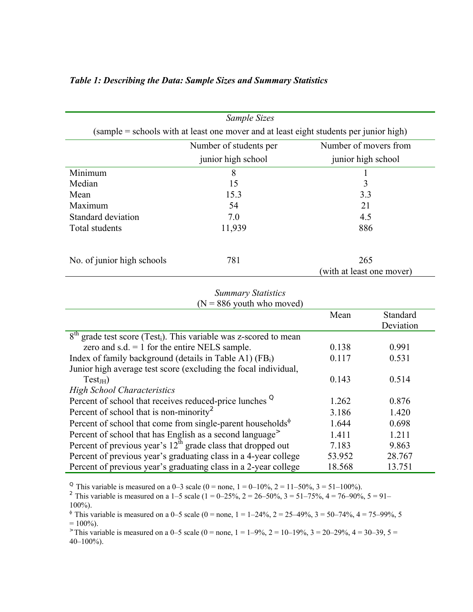| Sample Sizes                                                                           |                    |                                  |  |  |
|----------------------------------------------------------------------------------------|--------------------|----------------------------------|--|--|
| (sample = schools with at least one mover and at least eight students per junior high) |                    |                                  |  |  |
| Number of movers from<br>Number of students per                                        |                    |                                  |  |  |
|                                                                                        | junior high school | junior high school               |  |  |
| Minimum                                                                                | 8                  |                                  |  |  |
| Median                                                                                 | 15                 | 3                                |  |  |
| Mean                                                                                   | 15.3               | 3.3                              |  |  |
| Maximum                                                                                | 54                 | 21                               |  |  |
| Standard deviation                                                                     | 70                 | 4.5                              |  |  |
| Total students                                                                         | 11,939             | 886                              |  |  |
| No. of junior high schools                                                             | 781                | 265<br>(with at least one mover) |  |  |

# *Table 1: Describing the Data: Sample Sizes and Summary Statistics*

# *Summary Statistics*  $(N = 886$  youth who moved)

|                                                                                 | Mean   | Standard  |
|---------------------------------------------------------------------------------|--------|-----------|
|                                                                                 |        | Deviation |
| $8th$ grade test score (Test <sub>i</sub> ). This variable was z-scored to mean |        |           |
| zero and s.d. $= 1$ for the entire NELS sample.                                 | 0.138  | 0.991     |
| Index of family background (details in Table A1) $(FB_i)$                       | 0.117  | 0.531     |
| Junior high average test score (excluding the focal individual,                 |        |           |
| $Test_{IH}$                                                                     | 0.143  | 0.514     |
| <b>High School Characteristics</b>                                              |        |           |
| Percent of school that receives reduced-price lunches <sup>Q</sup>              | 1.262  | 0.876     |
| Percent of school that is non-minority <sup>2</sup>                             | 3.186  | 1.420     |
| Percent of school that come from single-parent households $\phi$                | 1.644  | 0.698     |
| Percent of school that has English as a second language <sup>&gt;</sup>         | 1.411  | 1.211     |
| Percent of previous year's $12th$ grade class that dropped out                  | 7.183  | 9.863     |
| Percent of previous year's graduating class in a 4-year college                 | 53.952 | 28.767    |
| Percent of previous year's graduating class in a 2-year college                 | 18.568 | 13.751    |

<sup>Q</sup> This variable is measured on a 0–3 scale (0 = none, 1 = 0–10%, 2 = 11–50%, 3 = 51–100%).

<sup>2</sup> This variable is measured on a 1–5 scale (1 = 0–25%, 2 = 26–50%, 3 = 51–75%, 4 = 76–90%, 5 = 91– 100%).

<sup> $\phi$ </sup> This variable is measured on a 0–5 scale (0 = none, 1 = 1–24%, 2 = 25–49%, 3 = 50–74%, 4 = 75–99%, 5  $= 100\%$ ).

 $\ge$  This variable is measured on a 0–5 scale (0 = none, 1 = 1–9%, 2 = 10–19%, 3 = 20–29%, 4 = 30–39, 5 = 40–100%).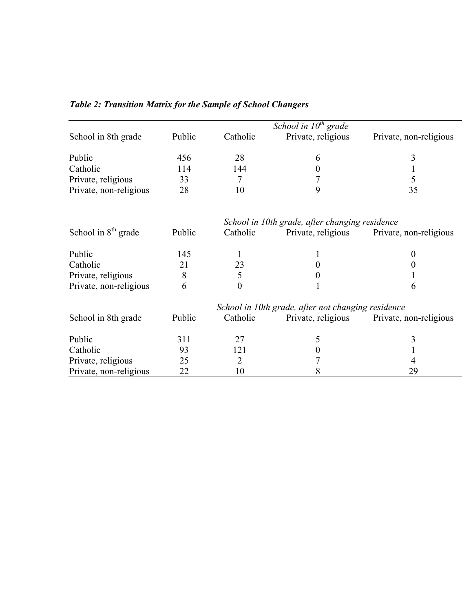|                        |        |                | School in $10^{th}$ grade                          |                        |
|------------------------|--------|----------------|----------------------------------------------------|------------------------|
| School in 8th grade    | Public | Catholic       | Private, religious                                 | Private, non-religious |
| Public                 | 456    | 28             | 6                                                  | 3                      |
| Catholic               | 114    | 144            | 0                                                  |                        |
| Private, religious     | 33     | 7              |                                                    | 5                      |
| Private, non-religious | 28     | 10             | 9                                                  | 35                     |
|                        |        |                | School in 10th grade, after changing residence     |                        |
| School in $8th$ grade  | Public | Catholic       | Private, religious                                 | Private, non-religious |
| Public                 | 145    |                |                                                    | $_{0}$                 |
| Catholic               | 21     | 23             |                                                    |                        |
| Private, religious     | 8      | 5              |                                                    |                        |
| Private, non-religious | 6      | $\overline{0}$ |                                                    | 6                      |
|                        |        |                | School in 10th grade, after not changing residence |                        |
| School in 8th grade    | Public | Catholic       | Private, religious                                 | Private, non-religious |
| Public                 | 311    | 27             | 5                                                  | 3                      |
| Catholic               | 93     | 121            |                                                    |                        |
| Private, religious     | 25     | 2              |                                                    |                        |
| Private, non-religious | 22     | 10             | 8                                                  | 29                     |

# *Table 2: Transition Matrix for the Sample of School Changers*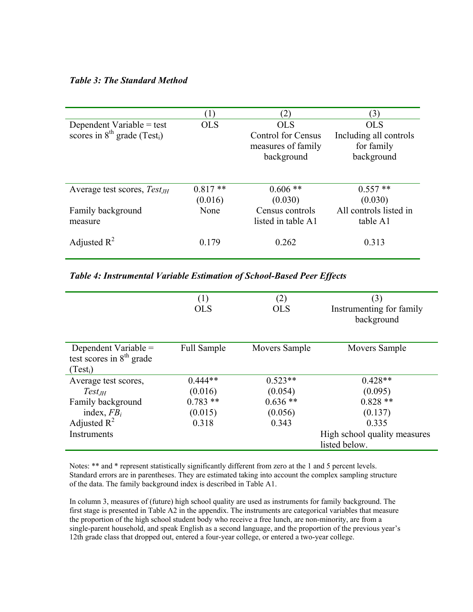# *Table 3: The Standard Method*

|                                               |                      | $\left( 2\right)$         | (3)                    |
|-----------------------------------------------|----------------------|---------------------------|------------------------|
| Dependent Variable $=$ test                   | <b>OLS</b>           | <b>OLS</b>                | <b>OLS</b>             |
| scores in $8^{th}$ grade (Test <sub>i</sub> ) |                      | <b>Control for Census</b> | Including all controls |
|                                               |                      | measures of family        | for family             |
|                                               |                      | background                | background             |
| Average test scores, $Test_{JH}$              | $0.817**$<br>(0.016) | $0.606**$<br>(0.030)      | $0.557**$<br>(0.030)   |
| Family background                             | None                 | Census controls           | All controls listed in |
| measure                                       |                      | listed in table A1        | table A1               |
| Adjusted $R^2$                                | 0.179                | 0.262                     | 0.313                  |

*Table 4: Instrumental Variable Estimation of School-Based Peer Effects* 

|                            | (1)                | (2)           | (3)                          |
|----------------------------|--------------------|---------------|------------------------------|
|                            | <b>OLS</b>         | <b>OLS</b>    | Instrumenting for family     |
|                            |                    |               | background                   |
|                            |                    |               |                              |
| Dependent Variable $=$     | <b>Full Sample</b> | Movers Sample | Movers Sample                |
| test scores in $8th$ grade |                    |               |                              |
| $(Test_i)$                 |                    |               |                              |
| Average test scores,       | $0.444**$          | $0.523**$     | $0.428**$                    |
| $Test_{JH}$                | (0.016)            | (0.054)       | (0.095)                      |
| Family background          | $0.783$ **         | $0.636**$     | $0.828**$                    |
| index, $FB_i$              | (0.015)            | (0.056)       | (0.137)                      |
| Adjusted $R^2$             | 0.318              | 0.343         | 0.335                        |
| Instruments                |                    |               | High school quality measures |
|                            |                    |               | listed below.                |

Notes: \*\* and \* represent statistically significantly different from zero at the 1 and 5 percent levels. Standard errors are in parentheses. They are estimated taking into account the complex sampling structure of the data. The family background index is described in Table A1.

In column 3, measures of (future) high school quality are used as instruments for family background. The first stage is presented in Table A2 in the appendix. The instruments are categorical variables that measure the proportion of the high school student body who receive a free lunch, are non-minority, are from a single-parent household, and speak English as a second language, and the proportion of the previous year's 12th grade class that dropped out, entered a four-year college, or entered a two-year college.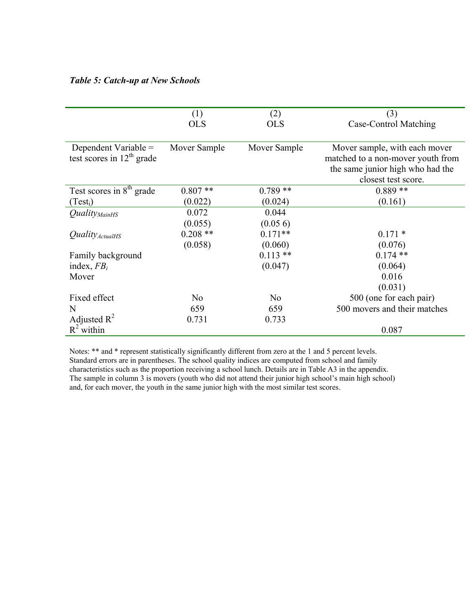# *Table 5: Catch-up at New Schools*

|                                 | (1)            | (2)            | (3)                               |
|---------------------------------|----------------|----------------|-----------------------------------|
|                                 | <b>OLS</b>     | <b>OLS</b>     | Case-Control Matching             |
|                                 |                |                |                                   |
| Dependent Variable $=$          | Mover Sample   | Mover Sample   | Mover sample, with each mover     |
| test scores in $12th$ grade     |                |                | matched to a non-mover youth from |
|                                 |                |                | the same junior high who had the  |
|                                 |                |                | closest test score.               |
| Test scores in $8th$ grade      | $0.807**$      | $0.789**$      | $0.889**$                         |
| $(Test_i)$                      | (0.022)        | (0.024)        | (0.161)                           |
| <i>Quality<sub>MainHS</sub></i> | 0.072          | 0.044          |                                   |
|                                 | (0.055)        | (0.056)        |                                   |
| $Quality_{ActualHS}$            | $0.208**$      | $0.171**$      | $0.171*$                          |
|                                 | (0.058)        | (0.060)        | (0.076)                           |
| Family background               |                | $0.113**$      | $0.174$ **                        |
| index, $FB_i$                   |                | (0.047)        | (0.064)                           |
| Mover                           |                |                | 0.016                             |
|                                 |                |                | (0.031)                           |
| Fixed effect                    | N <sub>0</sub> | N <sub>o</sub> | 500 (one for each pair)           |
| N                               | 659            | 659            | 500 movers and their matches      |
| Adjusted $R^2$                  | 0.731          | 0.733          |                                   |
| $R^2$ within                    |                |                | 0.087                             |

Notes: \*\* and \* represent statistically significantly different from zero at the 1 and 5 percent levels. Standard errors are in parentheses. The school quality indices are computed from school and family characteristics such as the proportion receiving a school lunch. Details are in Table A3 in the appendix. The sample in column 3 is movers (youth who did not attend their junior high school's main high school) and, for each mover, the youth in the same junior high with the most similar test scores.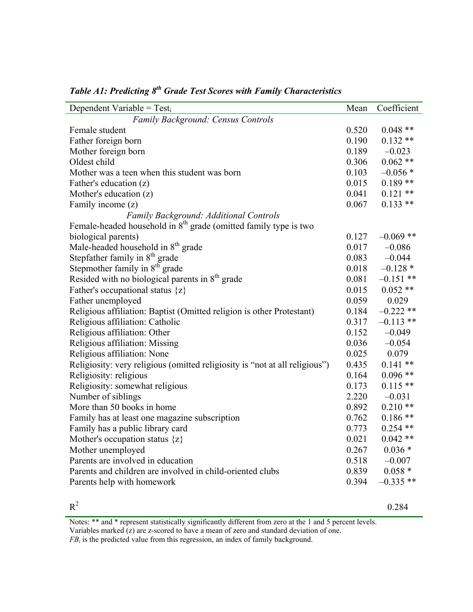| Dependent Variable = $Test_i$                                               | Mean  | Coefficient |
|-----------------------------------------------------------------------------|-------|-------------|
| Family Background: Census Controls                                          |       |             |
| Female student                                                              | 0.520 | $0.048**$   |
| Father foreign born                                                         | 0.190 | $0.132**$   |
| Mother foreign born                                                         | 0.189 | $-0.023$    |
| Oldest child                                                                | 0.306 | $0.062**$   |
| Mother was a teen when this student was born                                | 0.103 | $-0.056*$   |
| Father's education (z)                                                      | 0.015 | $0.189**$   |
| Mother's education $(z)$                                                    | 0.041 | $0.121$ **  |
| Family income (z)                                                           | 0.067 | $0.133**$   |
| Family Background: Additional Controls                                      |       |             |
| Female-headed household in $8th$ grade (omitted family type is two          |       |             |
| biological parents)                                                         | 0.127 | $-0.069$ ** |
| Male-headed household in 8 <sup>th</sup> grade                              | 0.017 | $-0.086$    |
| Stepfather family in 8 <sup>th</sup> grade                                  | 0.083 | $-0.044$    |
| Stepmother family in 8 <sup>th</sup> grade                                  | 0.018 | $-0.128*$   |
| Resided with no biological parents in 8 <sup>th</sup> grade                 | 0.081 | $-0.151$ ** |
| Father's occupational status $\{z\}$                                        | 0.015 | $0.052**$   |
| Father unemployed                                                           | 0.059 | 0.029       |
| Religious affiliation: Baptist (Omitted religion is other Protestant)       | 0.184 | $-0.222$ ** |
| Religious affiliation: Catholic                                             | 0.317 | $-0.113$ ** |
| Religious affiliation: Other                                                | 0.152 | $-0.049$    |
| Religious affiliation: Missing                                              | 0.036 | $-0.054$    |
| Religious affiliation: None                                                 | 0.025 | 0.079       |
| Religiosity: very religious (omitted religiosity is "not at all religious") | 0.435 | $0.141**$   |
| Religiosity: religious                                                      | 0.164 | $0.096**$   |
| Religiosity: somewhat religious                                             | 0.173 | $0.115**$   |
| Number of siblings                                                          | 2.220 | $-0.031$    |
| More than 50 books in home                                                  | 0.892 | $0.210**$   |
| Family has at least one magazine subscription                               | 0.762 | $0.186**$   |
| Family has a public library card                                            | 0.773 | $0.254$ **  |
| Mother's occupation status $\{z\}$                                          | 0.021 | $0.042**$   |
| Mother unemployed                                                           | 0.267 | $0.036*$    |
| Parents are involved in education                                           | 0.518 | $-0.007$    |
| Parents and children are involved in child-oriented clubs                   | 0.839 | $0.058*$    |
| Parents help with homework                                                  | 0.394 | $-0.335$ ** |
|                                                                             |       |             |

# *Table A1: Predicting 8<sup>th</sup> Grade Test Scores with Family Characteristics*

 $R^2$  0.284

Notes: \*\* and \* represent statistically significantly different from zero at the 1 and 5 percent levels. Variables marked (z) are z-scored to have a mean of zero and standard deviation of one.

*FB<sub>i</sub>* is the predicted value from this regression, an index of family background.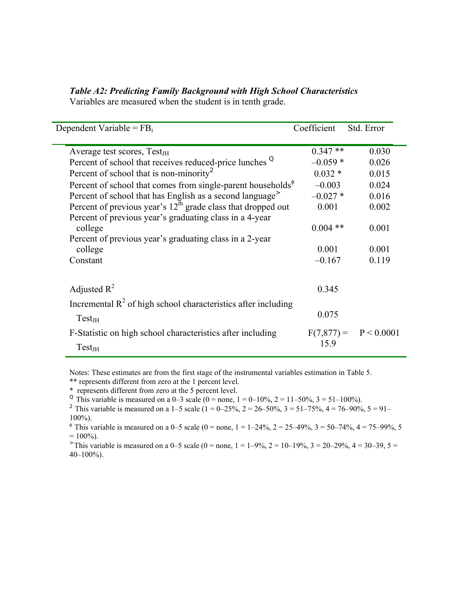| Dependent Variable = $FBi$                                              | Coefficient   | Std. Error |
|-------------------------------------------------------------------------|---------------|------------|
| Average test scores, $Test_{JH}$                                        | $0.347**$     | 0.030      |
| Percent of school that receives reduced-price lunches <sup>Q</sup>      | $-0.059*$     | 0.026      |
| Percent of school that is non-minority <sup>2</sup>                     | $0.032*$      | 0.015      |
| Percent of school that comes from single-parent households $\phi$       | $-0.003$      | 0.024      |
| Percent of school that has English as a second language <sup>&gt;</sup> | $-0.027*$     | 0.016      |
| Percent of previous year's $12th$ grade class that dropped out          | 0.001         | 0.002      |
| Percent of previous year's graduating class in a 4-year                 |               |            |
| college                                                                 | $0.004$ **    | 0.001      |
| Percent of previous year's graduating class in a 2-year                 |               |            |
| college                                                                 | 0.001         | 0.001      |
| Constant                                                                | $-0.167$      | 0.119      |
| Adjusted $R^2$                                                          | 0.345         |            |
| Incremental $R^2$ of high school characteristics after including        |               |            |
| Test <sub>JH</sub>                                                      | 0.075         |            |
| F-Statistic on high school characteristics after including              | $F(7, 877) =$ | P < 0.0001 |
| Test <sub>JH</sub>                                                      | 15.9          |            |

*Table A2: Predicting Family Background with High School Characteristics* 

Variables are measured when the student is in tenth grade.

Notes: These estimates are from the first stage of the instrumental variables estimation in Table 5.

\*\* represents different from zero at the 1 percent level.

\* represents different from zero at the 5 percent level.

<sup>Q</sup> This variable is measured on a 0–3 scale (0 = none, 1 = 0–10%, 2 = 11–50%, 3 = 51–100%).

<sup>2</sup> This variable is measured on a 1–5 scale  $(1 = 0-25\%, 2 = 26-50\%, 3 = 51-75\%, 4 = 76-90\%, 5 = 91-$ 100%).

<sup> $\phi$ </sup> This variable is measured on a 0–5 scale (0 = none, 1 = 1–24%, 2 = 25–49%, 3 = 50–74%, 4 = 75–99%, 5  $= 100\%$ ).

 $\degree$  This variable is measured on a 0–5 scale (0 = none, 1 = 1–9%, 2 = 10–19%, 3 = 20–29%, 4 = 30–39, 5 =  $40-100\%$ ).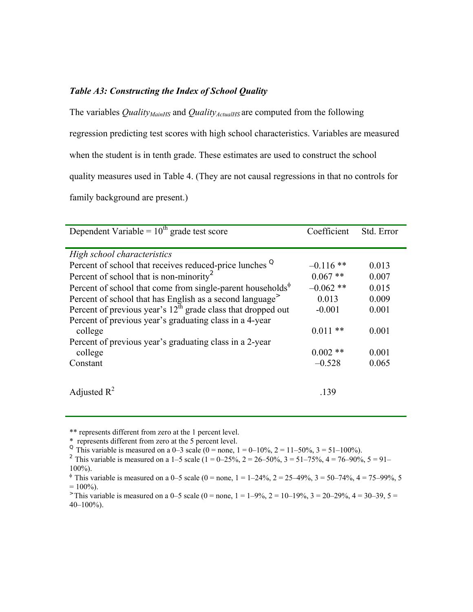# *Table A3: Constructing the Index of School Quality*

The variables *Quality<sub>MainHS</sub>* and *Quality<sub>ActualHS</sub>* are computed from the following regression predicting test scores with high school characteristics. Variables are measured when the student is in tenth grade. These estimates are used to construct the school quality measures used in Table 4. (They are not causal regressions in that no controls for family background are present.)

| Dependent Variable = $10^{th}$ grade test score                         | Coefficient | Std. Error |
|-------------------------------------------------------------------------|-------------|------------|
| High school characteristics                                             |             |            |
| Percent of school that receives reduced-price lunches <sup>Q</sup>      | $-0.116$ ** | 0.013      |
| Percent of school that is non-minority <sup>2</sup>                     | $0.067$ **  | 0.007      |
| Percent of school that come from single-parent households $\mathcal{P}$ | $-0.062$ ** | 0.015      |
| Percent of school that has English as a second language <sup>&gt;</sup> | 0.013       | 0.009      |
| Percent of previous year's $12th$ grade class that dropped out          | $-0.001$    | 0.001      |
| Percent of previous year's graduating class in a 4-year                 |             |            |
| college                                                                 | $0.011**$   | 0.001      |
| Percent of previous year's graduating class in a 2-year                 |             |            |
| college                                                                 | $0.002$ **  | 0.001      |
| Constant                                                                | $-0.528$    | 0.065      |
|                                                                         |             |            |
| Adjusted $R^2$                                                          | .139        |            |

<sup>\*\*</sup> represents different from zero at the 1 percent level.

<sup>2</sup> This variable is measured on a 1–5 scale (1 = 0–25%, 2 = 26–50%, 3 = 51–75%, 4 = 76–90%, 5 = 91– 100%).

 $\degree$  This variable is measured on a 0–5 scale (0 = none, 1 = 1–9%, 2 = 10–19%, 3 = 20–29%, 4 = 30–39, 5 =  $40-100\%$ ).

<sup>\*</sup> represents different from zero at the 5 percent level.

<sup>&</sup>lt;sup>Q</sup> This variable is measured on a 0–3 scale (0 = none, 1 = 0–10%, 2 = 11–50%, 3 = 51–100%).

<sup>&</sup>lt;sup> $\phi$ </sup> This variable is measured on a 0–5 scale (0 = none, 1 = 1–24%, 2 = 25–49%, 3 = 50–74%, 4 = 75–99%, 5  $= 100\%$ ).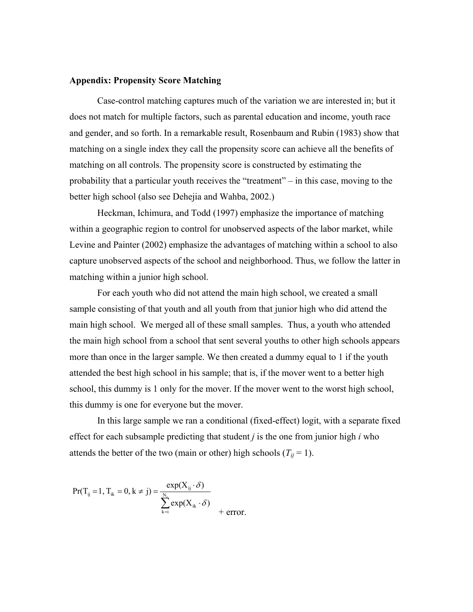#### **Appendix: Propensity Score Matching**

Case-control matching captures much of the variation we are interested in; but it does not match for multiple factors, such as parental education and income, youth race and gender, and so forth. In a remarkable result, Rosenbaum and Rubin (1983) show that matching on a single index they call the propensity score can achieve all the benefits of matching on all controls. The propensity score is constructed by estimating the probability that a particular youth receives the "treatment" – in this case, moving to the better high school (also see Dehejia and Wahba, 2002.)

Heckman, Ichimura, and Todd (1997) emphasize the importance of matching within a geographic region to control for unobserved aspects of the labor market, while Levine and Painter (2002) emphasize the advantages of matching within a school to also capture unobserved aspects of the school and neighborhood. Thus, we follow the latter in matching within a junior high school.

For each youth who did not attend the main high school, we created a small sample consisting of that youth and all youth from that junior high who did attend the main high school. We merged all of these small samples. Thus, a youth who attended the main high school from a school that sent several youths to other high schools appears more than once in the larger sample. We then created a dummy equal to 1 if the youth attended the best high school in his sample; that is, if the mover went to a better high school, this dummy is 1 only for the mover. If the mover went to the worst high school, this dummy is one for everyone but the mover.

In this large sample we ran a conditional (fixed-effect) logit, with a separate fixed effect for each subsample predicting that student *j* is the one from junior high *i* who attends the better of the two (main or other) high schools ( $T_{ij} = 1$ ).

$$
Pr(T_{ij} = 1, T_{ik} = 0, k \neq j) = \frac{\exp(X_{ij} \cdot \delta)}{\sum_{k=i}^{N_i} \exp(X_{ik} \cdot \delta)} + \text{error}.
$$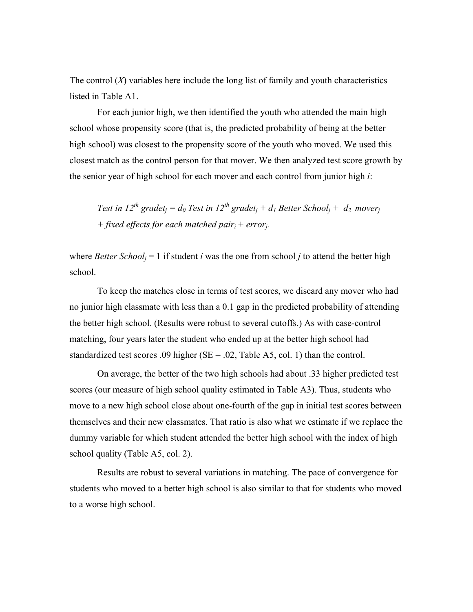The control  $(X)$  variables here include the long list of family and youth characteristics listed in Table A1.

For each junior high, we then identified the youth who attended the main high school whose propensity score (that is, the predicted probability of being at the better high school) was closest to the propensity score of the youth who moved. We used this closest match as the control person for that mover. We then analyzed test score growth by the senior year of high school for each mover and each control from junior high *i*:

*Test in 12<sup>th</sup> gradet<sub>i</sub> = d<sub>0</sub> Test in 12<sup>th</sup> gradet<sub>i</sub> + d<sub>1</sub> Better School<sub>i</sub> + d<sub>2</sub> mover<sub>i</sub> + fixed effects for each matched pairi + errorj.* 

where *Better School*<sub>*i*</sub> = 1 if student *i* was the one from school *j* to attend the better high school.

To keep the matches close in terms of test scores, we discard any mover who had no junior high classmate with less than a 0.1 gap in the predicted probability of attending the better high school. (Results were robust to several cutoffs.) As with case-control matching, four years later the student who ended up at the better high school had standardized test scores .09 higher ( $SE = .02$ , Table A5, col. 1) than the control.

On average, the better of the two high schools had about .33 higher predicted test scores (our measure of high school quality estimated in Table A3). Thus, students who move to a new high school close about one-fourth of the gap in initial test scores between themselves and their new classmates. That ratio is also what we estimate if we replace the dummy variable for which student attended the better high school with the index of high school quality (Table A5, col. 2).

Results are robust to several variations in matching. The pace of convergence for students who moved to a better high school is also similar to that for students who moved to a worse high school.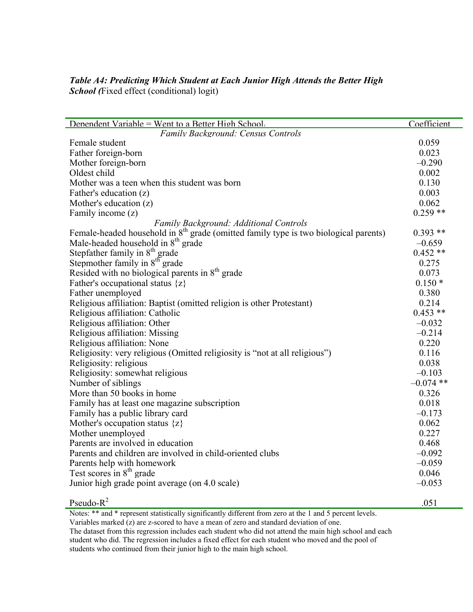# *Table A4: Predicting Which Student at Each Junior High Attends the Better High School (*Fixed effect (conditional) logit)

| Denendent Variable = Went to a Better High School.                                     | Coefficient |
|----------------------------------------------------------------------------------------|-------------|
| <b>Family Background: Census Controls</b>                                              |             |
| Female student                                                                         | 0.059       |
| Father foreign-born                                                                    | 0.023       |
| Mother foreign-born                                                                    | $-0.290$    |
| Oldest child                                                                           | 0.002       |
| Mother was a teen when this student was born                                           | 0.130       |
| Father's education (z)                                                                 | 0.003       |
| Mother's education (z)                                                                 | 0.062       |
| Family income (z)                                                                      | $0.259**$   |
| Family Background: Additional Controls                                                 |             |
| Female-headed household in $8th$ grade (omitted family type is two biological parents) | $0.393**$   |
| Male-headed household in 8 <sup>th</sup> grade                                         | $-0.659$    |
| Stepfather family in $8th$ grade                                                       | $0.452**$   |
| Stepmother family in 8 <sup>th</sup> grade                                             | 0.275       |
| Resided with no biological parents in $8th$ grade                                      | 0.073       |
| Father's occupational status $\{z\}$                                                   | $0.150*$    |
| Father unemployed                                                                      | 0.380       |
| Religious affiliation: Baptist (omitted religion is other Protestant)                  | 0.214       |
| Religious affiliation: Catholic                                                        | $0.453**$   |
| Religious affiliation: Other                                                           | $-0.032$    |
| Religious affiliation: Missing                                                         | $-0.214$    |
| Religious affiliation: None                                                            | 0.220       |
| Religiosity: very religious (Omitted religiosity is "not at all religious")            | 0.116       |
| Religiosity: religious                                                                 | 0.038       |
| Religiosity: somewhat religious                                                        | $-0.103$    |
| Number of siblings                                                                     | $-0.074$ ** |
| More than 50 books in home                                                             | 0.326       |
| Family has at least one magazine subscription                                          | 0.018       |
| Family has a public library card                                                       | $-0.173$    |
| Mother's occupation status $\{z\}$                                                     | 0.062       |
| Mother unemployed                                                                      | 0.227       |
| Parents are involved in education                                                      | 0.468       |
| Parents and children are involved in child-oriented clubs                              | $-0.092$    |
| Parents help with homework                                                             | $-0.059$    |
| Test scores in $8th$ grade                                                             | 0.046       |
| Junior high grade point average (on 4.0 scale)                                         | $-0.053$    |
| Pseudo- $R^2$                                                                          | .051        |

Notes: \*\* and \* represent statistically significantly different from zero at the 1 and 5 percent levels.

Variables marked (z) are z-scored to have a mean of zero and standard deviation of one.

The dataset from this regression includes each student who did not attend the main high school and each student who did. The regression includes a fixed effect for each student who moved and the pool of students who continued from their junior high to the main high school.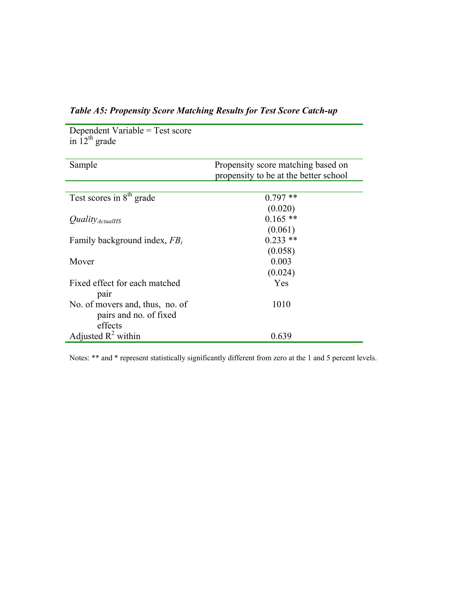| in $12^{th}$ grade                   |                                       |
|--------------------------------------|---------------------------------------|
|                                      |                                       |
| Sample                               | Propensity score matching based on    |
|                                      | propensity to be at the better school |
|                                      |                                       |
| Test scores in 8 <sup>th</sup> grade | $0.797**$                             |
|                                      | (0.020)                               |
| <i>Quality</i> ActualHS              | $0.165$ **                            |
|                                      | (0.061)                               |
| Family background index, $FB_i$      | $0.233$ **                            |
|                                      | (0.058)                               |
| Mover                                | 0.003                                 |
|                                      | (0.024)                               |
| Fixed effect for each matched        | Yes                                   |
| pair                                 |                                       |
| No. of movers and, thus, no. of      | 1010                                  |
| pairs and no. of fixed               |                                       |
| effects                              |                                       |
| Adjusted $R^2$ within                | 0.639                                 |

*Table A5: Propensity Score Matching Results for Test Score Catch-up* 

Dependent Variable = Test score

Notes: \*\* and \* represent statistically significantly different from zero at the 1 and 5 percent levels.